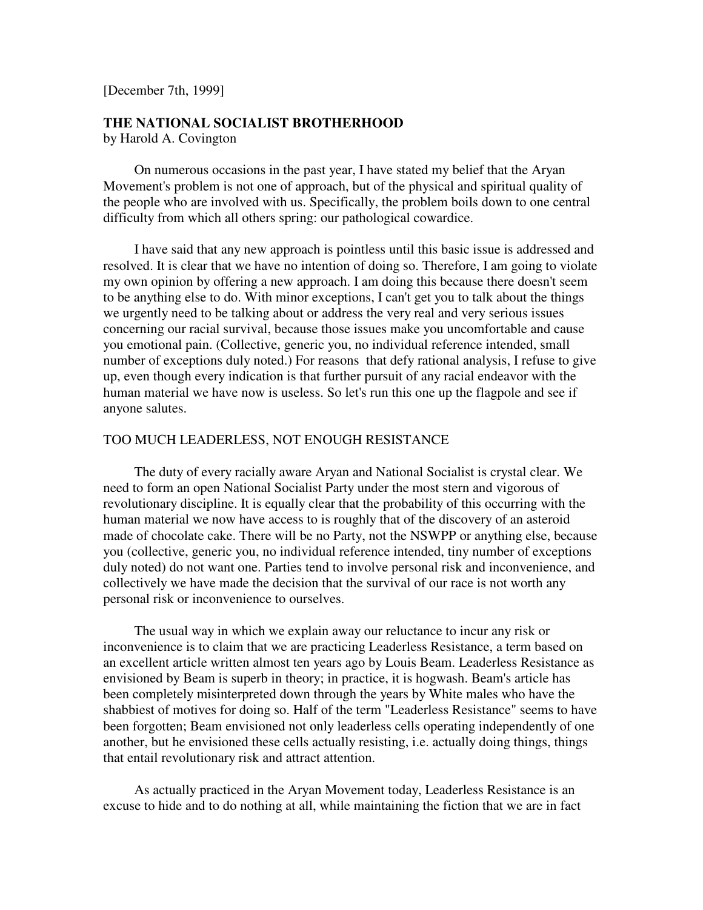[December 7th, 1999]

## **THE NATIONAL SOCIALIST BROTHERHOOD**

by Harold A. Covington

 On numerous occasions in the past year, I have stated my belief that the Aryan Movement's problem is not one of approach, but of the physical and spiritual quality of the people who are involved with us. Specifically, the problem boils down to one central difficulty from which all others spring: our pathological cowardice.

 I have said that any new approach is pointless until this basic issue is addressed and resolved. It is clear that we have no intention of doing so. Therefore, I am going to violate my own opinion by offering a new approach. I am doing this because there doesn't seem to be anything else to do. With minor exceptions, I can't get you to talk about the things we urgently need to be talking about or address the very real and very serious issues concerning our racial survival, because those issues make you uncomfortable and cause you emotional pain. (Collective, generic you, no individual reference intended, small number of exceptions duly noted.) For reasons that defy rational analysis, I refuse to give up, even though every indication is that further pursuit of any racial endeavor with the human material we have now is useless. So let's run this one up the flagpole and see if anyone salutes.

#### TOO MUCH LEADERLESS, NOT ENOUGH RESISTANCE

 The duty of every racially aware Aryan and National Socialist is crystal clear. We need to form an open National Socialist Party under the most stern and vigorous of revolutionary discipline. It is equally clear that the probability of this occurring with the human material we now have access to is roughly that of the discovery of an asteroid made of chocolate cake. There will be no Party, not the NSWPP or anything else, because you (collective, generic you, no individual reference intended, tiny number of exceptions duly noted) do not want one. Parties tend to involve personal risk and inconvenience, and collectively we have made the decision that the survival of our race is not worth any personal risk or inconvenience to ourselves.

 The usual way in which we explain away our reluctance to incur any risk or inconvenience is to claim that we are practicing Leaderless Resistance, a term based on an excellent article written almost ten years ago by Louis Beam. Leaderless Resistance as envisioned by Beam is superb in theory; in practice, it is hogwash. Beam's article has been completely misinterpreted down through the years by White males who have the shabbiest of motives for doing so. Half of the term "Leaderless Resistance" seems to have been forgotten; Beam envisioned not only leaderless cells operating independently of one another, but he envisioned these cells actually resisting, i.e. actually doing things, things that entail revolutionary risk and attract attention.

 As actually practiced in the Aryan Movement today, Leaderless Resistance is an excuse to hide and to do nothing at all, while maintaining the fiction that we are in fact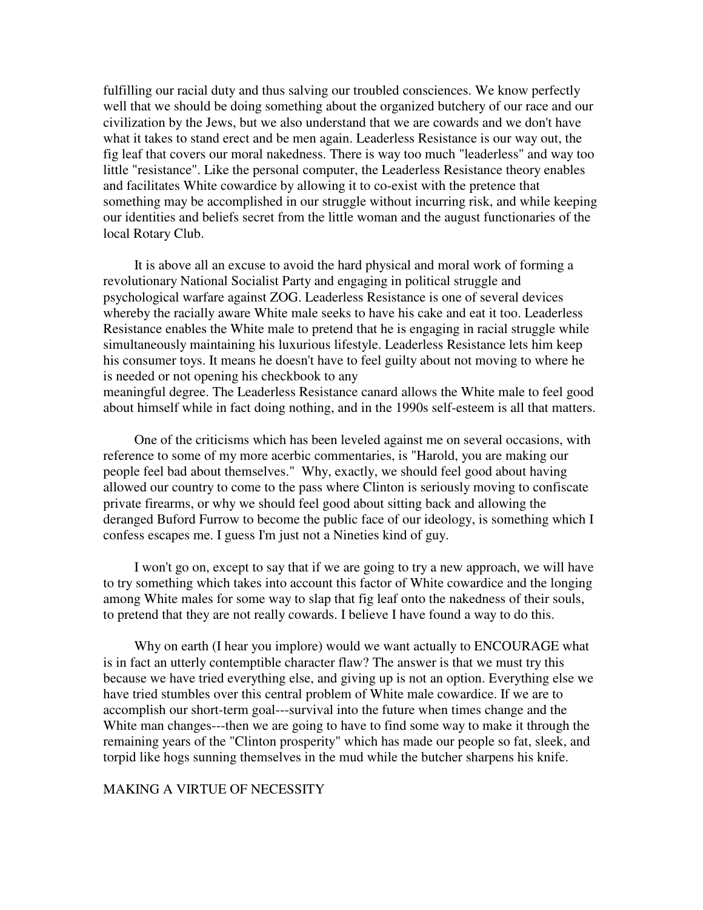fulfilling our racial duty and thus salving our troubled consciences. We know perfectly well that we should be doing something about the organized butchery of our race and our civilization by the Jews, but we also understand that we are cowards and we don't have what it takes to stand erect and be men again. Leaderless Resistance is our way out, the fig leaf that covers our moral nakedness. There is way too much "leaderless" and way too little "resistance". Like the personal computer, the Leaderless Resistance theory enables and facilitates White cowardice by allowing it to co-exist with the pretence that something may be accomplished in our struggle without incurring risk, and while keeping our identities and beliefs secret from the little woman and the august functionaries of the local Rotary Club.

 It is above all an excuse to avoid the hard physical and moral work of forming a revolutionary National Socialist Party and engaging in political struggle and psychological warfare against ZOG. Leaderless Resistance is one of several devices whereby the racially aware White male seeks to have his cake and eat it too. Leaderless Resistance enables the White male to pretend that he is engaging in racial struggle while simultaneously maintaining his luxurious lifestyle. Leaderless Resistance lets him keep his consumer toys. It means he doesn't have to feel guilty about not moving to where he is needed or not opening his checkbook to any

meaningful degree. The Leaderless Resistance canard allows the White male to feel good about himself while in fact doing nothing, and in the 1990s self-esteem is all that matters.

 One of the criticisms which has been leveled against me on several occasions, with reference to some of my more acerbic commentaries, is "Harold, you are making our people feel bad about themselves." Why, exactly, we should feel good about having allowed our country to come to the pass where Clinton is seriously moving to confiscate private firearms, or why we should feel good about sitting back and allowing the deranged Buford Furrow to become the public face of our ideology, is something which I confess escapes me. I guess I'm just not a Nineties kind of guy.

 I won't go on, except to say that if we are going to try a new approach, we will have to try something which takes into account this factor of White cowardice and the longing among White males for some way to slap that fig leaf onto the nakedness of their souls, to pretend that they are not really cowards. I believe I have found a way to do this.

 Why on earth (I hear you implore) would we want actually to ENCOURAGE what is in fact an utterly contemptible character flaw? The answer is that we must try this because we have tried everything else, and giving up is not an option. Everything else we have tried stumbles over this central problem of White male cowardice. If we are to accomplish our short-term goal---survival into the future when times change and the White man changes---then we are going to have to find some way to make it through the remaining years of the "Clinton prosperity" which has made our people so fat, sleek, and torpid like hogs sunning themselves in the mud while the butcher sharpens his knife.

### MAKING A VIRTUE OF NECESSITY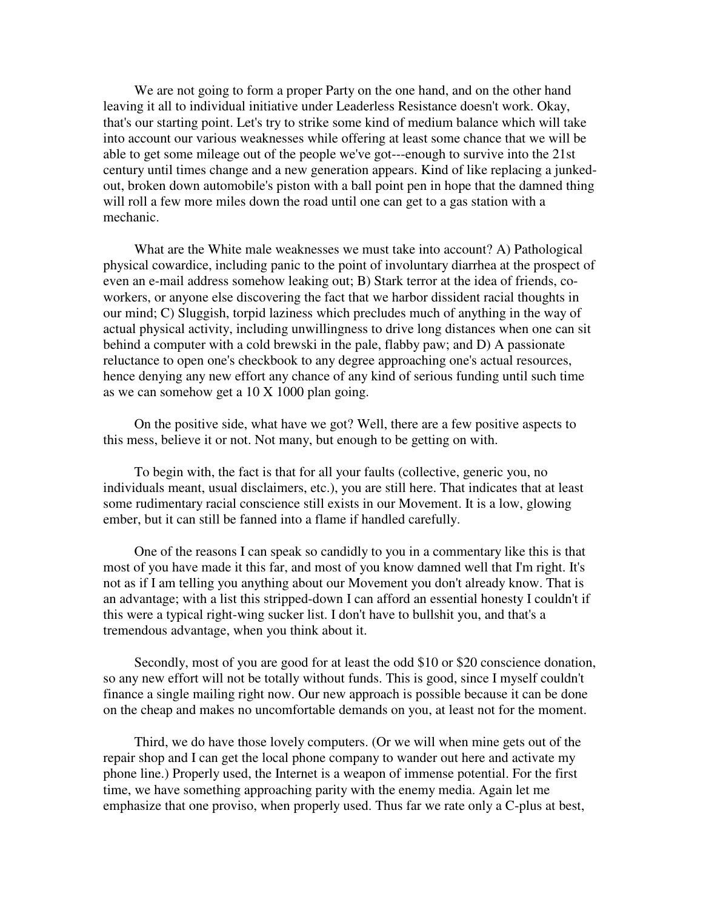We are not going to form a proper Party on the one hand, and on the other hand leaving it all to individual initiative under Leaderless Resistance doesn't work. Okay, that's our starting point. Let's try to strike some kind of medium balance which will take into account our various weaknesses while offering at least some chance that we will be able to get some mileage out of the people we've got---enough to survive into the 21st century until times change and a new generation appears. Kind of like replacing a junkedout, broken down automobile's piston with a ball point pen in hope that the damned thing will roll a few more miles down the road until one can get to a gas station with a mechanic.

 What are the White male weaknesses we must take into account? A) Pathological physical cowardice, including panic to the point of involuntary diarrhea at the prospect of even an e-mail address somehow leaking out; B) Stark terror at the idea of friends, coworkers, or anyone else discovering the fact that we harbor dissident racial thoughts in our mind; C) Sluggish, torpid laziness which precludes much of anything in the way of actual physical activity, including unwillingness to drive long distances when one can sit behind a computer with a cold brewski in the pale, flabby paw; and D) A passionate reluctance to open one's checkbook to any degree approaching one's actual resources, hence denying any new effort any chance of any kind of serious funding until such time as we can somehow get a 10 X 1000 plan going.

 On the positive side, what have we got? Well, there are a few positive aspects to this mess, believe it or not. Not many, but enough to be getting on with.

 To begin with, the fact is that for all your faults (collective, generic you, no individuals meant, usual disclaimers, etc.), you are still here. That indicates that at least some rudimentary racial conscience still exists in our Movement. It is a low, glowing ember, but it can still be fanned into a flame if handled carefully.

 One of the reasons I can speak so candidly to you in a commentary like this is that most of you have made it this far, and most of you know damned well that I'm right. It's not as if I am telling you anything about our Movement you don't already know. That is an advantage; with a list this stripped-down I can afford an essential honesty I couldn't if this were a typical right-wing sucker list. I don't have to bullshit you, and that's a tremendous advantage, when you think about it.

 Secondly, most of you are good for at least the odd \$10 or \$20 conscience donation, so any new effort will not be totally without funds. This is good, since I myself couldn't finance a single mailing right now. Our new approach is possible because it can be done on the cheap and makes no uncomfortable demands on you, at least not for the moment.

 Third, we do have those lovely computers. (Or we will when mine gets out of the repair shop and I can get the local phone company to wander out here and activate my phone line.) Properly used, the Internet is a weapon of immense potential. For the first time, we have something approaching parity with the enemy media. Again let me emphasize that one proviso, when properly used. Thus far we rate only a C-plus at best,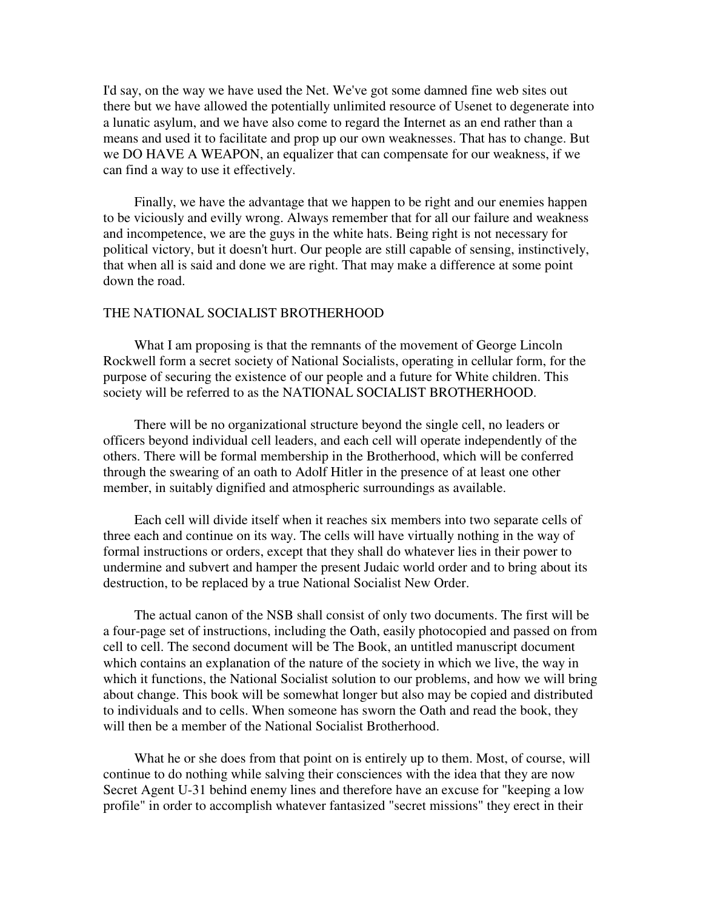I'd say, on the way we have used the Net. We've got some damned fine web sites out there but we have allowed the potentially unlimited resource of Usenet to degenerate into a lunatic asylum, and we have also come to regard the Internet as an end rather than a means and used it to facilitate and prop up our own weaknesses. That has to change. But we DO HAVE A WEAPON, an equalizer that can compensate for our weakness, if we can find a way to use it effectively.

 Finally, we have the advantage that we happen to be right and our enemies happen to be viciously and evilly wrong. Always remember that for all our failure and weakness and incompetence, we are the guys in the white hats. Being right is not necessary for political victory, but it doesn't hurt. Our people are still capable of sensing, instinctively, that when all is said and done we are right. That may make a difference at some point down the road.

#### THE NATIONAL SOCIALIST BROTHERHOOD

 What I am proposing is that the remnants of the movement of George Lincoln Rockwell form a secret society of National Socialists, operating in cellular form, for the purpose of securing the existence of our people and a future for White children. This society will be referred to as the NATIONAL SOCIALIST BROTHERHOOD.

 There will be no organizational structure beyond the single cell, no leaders or officers beyond individual cell leaders, and each cell will operate independently of the others. There will be formal membership in the Brotherhood, which will be conferred through the swearing of an oath to Adolf Hitler in the presence of at least one other member, in suitably dignified and atmospheric surroundings as available.

 Each cell will divide itself when it reaches six members into two separate cells of three each and continue on its way. The cells will have virtually nothing in the way of formal instructions or orders, except that they shall do whatever lies in their power to undermine and subvert and hamper the present Judaic world order and to bring about its destruction, to be replaced by a true National Socialist New Order.

 The actual canon of the NSB shall consist of only two documents. The first will be a four-page set of instructions, including the Oath, easily photocopied and passed on from cell to cell. The second document will be The Book, an untitled manuscript document which contains an explanation of the nature of the society in which we live, the way in which it functions, the National Socialist solution to our problems, and how we will bring about change. This book will be somewhat longer but also may be copied and distributed to individuals and to cells. When someone has sworn the Oath and read the book, they will then be a member of the National Socialist Brotherhood.

 What he or she does from that point on is entirely up to them. Most, of course, will continue to do nothing while salving their consciences with the idea that they are now Secret Agent U-31 behind enemy lines and therefore have an excuse for "keeping a low profile" in order to accomplish whatever fantasized "secret missions" they erect in their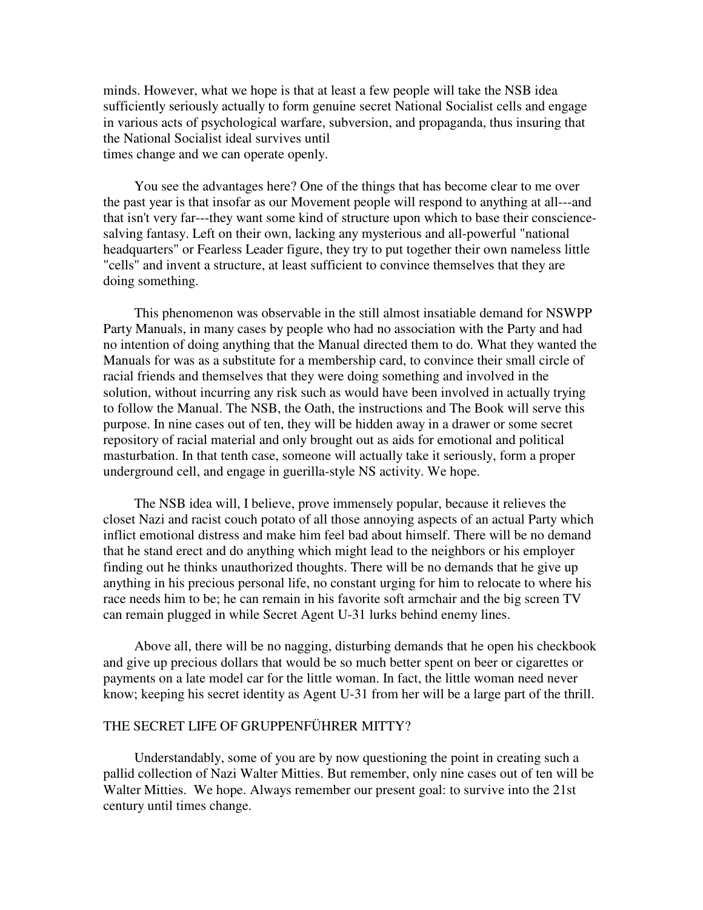minds. However, what we hope is that at least a few people will take the NSB idea sufficiently seriously actually to form genuine secret National Socialist cells and engage in various acts of psychological warfare, subversion, and propaganda, thus insuring that the National Socialist ideal survives until times change and we can operate openly.

 You see the advantages here? One of the things that has become clear to me over the past year is that insofar as our Movement people will respond to anything at all---and that isn't very far---they want some kind of structure upon which to base their consciencesalving fantasy. Left on their own, lacking any mysterious and all-powerful "national headquarters" or Fearless Leader figure, they try to put together their own nameless little "cells" and invent a structure, at least sufficient to convince themselves that they are doing something.

 This phenomenon was observable in the still almost insatiable demand for NSWPP Party Manuals, in many cases by people who had no association with the Party and had no intention of doing anything that the Manual directed them to do. What they wanted the Manuals for was as a substitute for a membership card, to convince their small circle of racial friends and themselves that they were doing something and involved in the solution, without incurring any risk such as would have been involved in actually trying to follow the Manual. The NSB, the Oath, the instructions and The Book will serve this purpose. In nine cases out of ten, they will be hidden away in a drawer or some secret repository of racial material and only brought out as aids for emotional and political masturbation. In that tenth case, someone will actually take it seriously, form a proper underground cell, and engage in guerilla-style NS activity. We hope.

 The NSB idea will, I believe, prove immensely popular, because it relieves the closet Nazi and racist couch potato of all those annoying aspects of an actual Party which inflict emotional distress and make him feel bad about himself. There will be no demand that he stand erect and do anything which might lead to the neighbors or his employer finding out he thinks unauthorized thoughts. There will be no demands that he give up anything in his precious personal life, no constant urging for him to relocate to where his race needs him to be; he can remain in his favorite soft armchair and the big screen TV can remain plugged in while Secret Agent U-31 lurks behind enemy lines.

 Above all, there will be no nagging, disturbing demands that he open his checkbook and give up precious dollars that would be so much better spent on beer or cigarettes or payments on a late model car for the little woman. In fact, the little woman need never know; keeping his secret identity as Agent U-31 from her will be a large part of the thrill.

#### THE SECRET LIFE OF GRUPPENFÜHRER MITTY?

 Understandably, some of you are by now questioning the point in creating such a pallid collection of Nazi Walter Mitties. But remember, only nine cases out of ten will be Walter Mitties. We hope. Always remember our present goal: to survive into the 21st century until times change.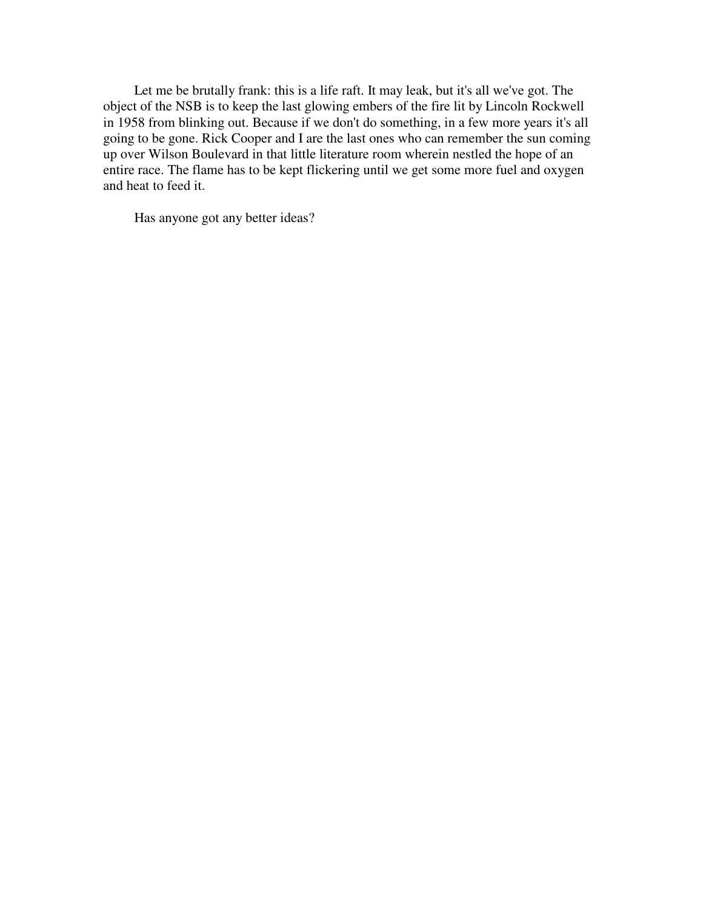Let me be brutally frank: this is a life raft. It may leak, but it's all we've got. The object of the NSB is to keep the last glowing embers of the fire lit by Lincoln Rockwell in 1958 from blinking out. Because if we don't do something, in a few more years it's all going to be gone. Rick Cooper and I are the last ones who can remember the sun coming up over Wilson Boulevard in that little literature room wherein nestled the hope of an entire race. The flame has to be kept flickering until we get some more fuel and oxygen and heat to feed it.

Has anyone got any better ideas?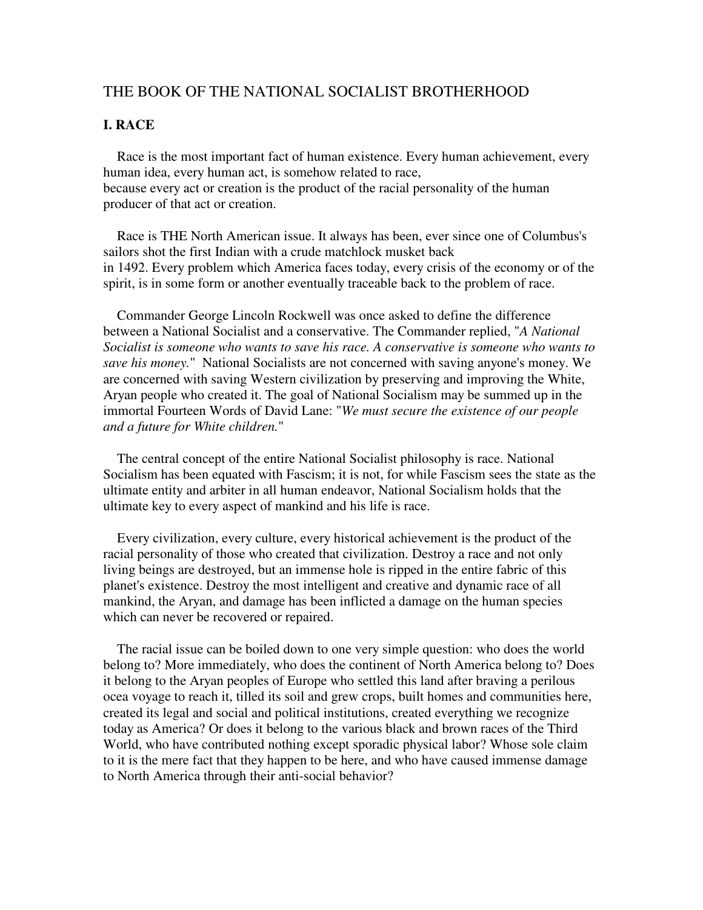### THE BOOK OF THE NATIONAL SOCIALIST BROTHERHOOD

### **I. RACE**

 Race is the most important fact of human existence. Every human achievement, every human idea, every human act, is somehow related to race, because every act or creation is the product of the racial personality of the human producer of that act or creation.

 Race is THE North American issue. It always has been, ever since one of Columbus's sailors shot the first Indian with a crude matchlock musket back in 1492. Every problem which America faces today, every crisis of the economy or of the spirit, is in some form or another eventually traceable back to the problem of race.

 Commander George Lincoln Rockwell was once asked to define the difference between a National Socialist and a conservative. The Commander replied, "*A National Socialist is someone who wants to save his race. A conservative is someone who wants to save his money.*" National Socialists are not concerned with saving anyone's money. We are concerned with saving Western civilization by preserving and improving the White, Aryan people who created it. The goal of National Socialism may be summed up in the immortal Fourteen Words of David Lane: "*We must secure the existence of our people and a future for White children.*"

 The central concept of the entire National Socialist philosophy is race. National Socialism has been equated with Fascism; it is not, for while Fascism sees the state as the ultimate entity and arbiter in all human endeavor, National Socialism holds that the ultimate key to every aspect of mankind and his life is race.

 Every civilization, every culture, every historical achievement is the product of the racial personality of those who created that civilization. Destroy a race and not only living beings are destroyed, but an immense hole is ripped in the entire fabric of this planet's existence. Destroy the most intelligent and creative and dynamic race of all mankind, the Aryan, and damage has been inflicted a damage on the human species which can never be recovered or repaired.

 The racial issue can be boiled down to one very simple question: who does the world belong to? More immediately, who does the continent of North America belong to? Does it belong to the Aryan peoples of Europe who settled this land after braving a perilous ocea voyage to reach it, tilled its soil and grew crops, built homes and communities here, created its legal and social and political institutions, created everything we recognize today as America? Or does it belong to the various black and brown races of the Third World, who have contributed nothing except sporadic physical labor? Whose sole claim to it is the mere fact that they happen to be here, and who have caused immense damage to North America through their anti-social behavior?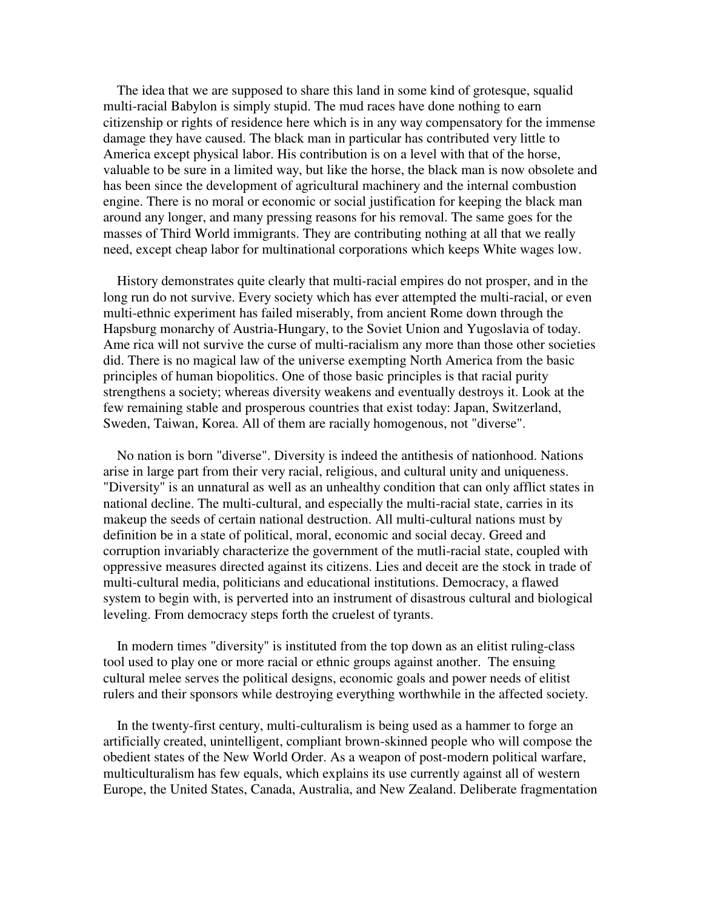The idea that we are supposed to share this land in some kind of grotesque, squalid multi-racial Babylon is simply stupid. The mud races have done nothing to earn citizenship or rights of residence here which is in any way compensatory for the immense damage they have caused. The black man in particular has contributed very little to America except physical labor. His contribution is on a level with that of the horse, valuable to be sure in a limited way, but like the horse, the black man is now obsolete and has been since the development of agricultural machinery and the internal combustion engine. There is no moral or economic or social justification for keeping the black man around any longer, and many pressing reasons for his removal. The same goes for the masses of Third World immigrants. They are contributing nothing at all that we really need, except cheap labor for multinational corporations which keeps White wages low.

 History demonstrates quite clearly that multi-racial empires do not prosper, and in the long run do not survive. Every society which has ever attempted the multi-racial, or even multi-ethnic experiment has failed miserably, from ancient Rome down through the Hapsburg monarchy of Austria-Hungary, to the Soviet Union and Yugoslavia of today. Ame rica will not survive the curse of multi-racialism any more than those other societies did. There is no magical law of the universe exempting North America from the basic principles of human biopolitics. One of those basic principles is that racial purity strengthens a society; whereas diversity weakens and eventually destroys it. Look at the few remaining stable and prosperous countries that exist today: Japan, Switzerland, Sweden, Taiwan, Korea. All of them are racially homogenous, not "diverse".

 No nation is born "diverse". Diversity is indeed the antithesis of nationhood. Nations arise in large part from their very racial, religious, and cultural unity and uniqueness. "Diversity" is an unnatural as well as an unhealthy condition that can only afflict states in national decline. The multi-cultural, and especially the multi-racial state, carries in its makeup the seeds of certain national destruction. All multi-cultural nations must by definition be in a state of political, moral, economic and social decay. Greed and corruption invariably characterize the government of the mutli-racial state, coupled with oppressive measures directed against its citizens. Lies and deceit are the stock in trade of multi-cultural media, politicians and educational institutions. Democracy, a flawed system to begin with, is perverted into an instrument of disastrous cultural and biological leveling. From democracy steps forth the cruelest of tyrants.

 In modern times "diversity" is instituted from the top down as an elitist ruling-class tool used to play one or more racial or ethnic groups against another. The ensuing cultural melee serves the political designs, economic goals and power needs of elitist rulers and their sponsors while destroying everything worthwhile in the affected society.

 In the twenty-first century, multi-culturalism is being used as a hammer to forge an artificially created, unintelligent, compliant brown-skinned people who will compose the obedient states of the New World Order. As a weapon of post-modern political warfare, multiculturalism has few equals, which explains its use currently against all of western Europe, the United States, Canada, Australia, and New Zealand. Deliberate fragmentation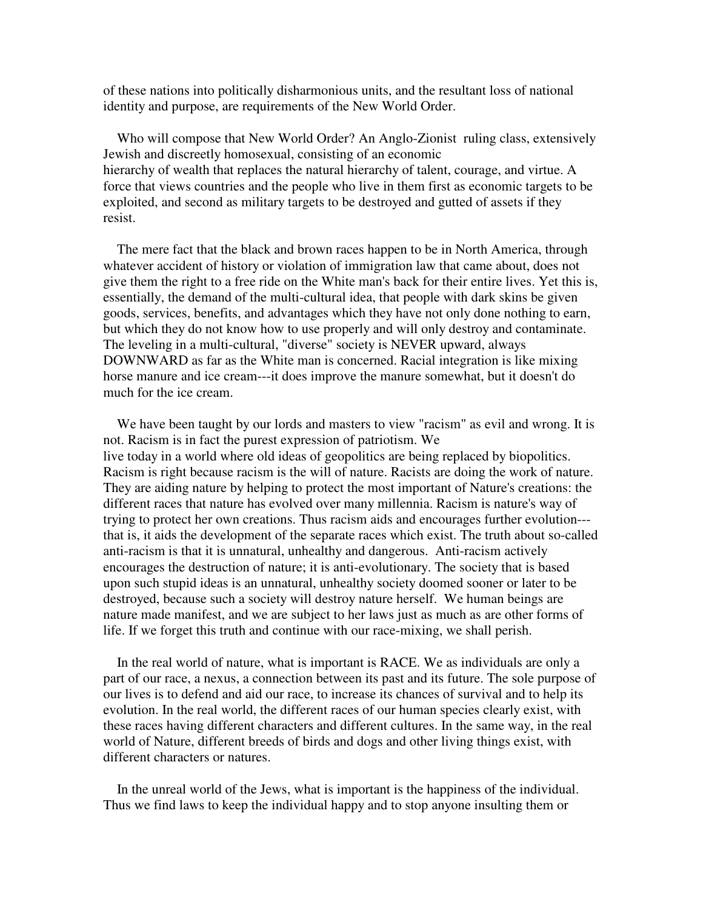of these nations into politically disharmonious units, and the resultant loss of national identity and purpose, are requirements of the New World Order.

 Who will compose that New World Order? An Anglo-Zionist ruling class, extensively Jewish and discreetly homosexual, consisting of an economic hierarchy of wealth that replaces the natural hierarchy of talent, courage, and virtue. A force that views countries and the people who live in them first as economic targets to be exploited, and second as military targets to be destroyed and gutted of assets if they resist.

 The mere fact that the black and brown races happen to be in North America, through whatever accident of history or violation of immigration law that came about, does not give them the right to a free ride on the White man's back for their entire lives. Yet this is, essentially, the demand of the multi-cultural idea, that people with dark skins be given goods, services, benefits, and advantages which they have not only done nothing to earn, but which they do not know how to use properly and will only destroy and contaminate. The leveling in a multi-cultural, "diverse" society is NEVER upward, always DOWNWARD as far as the White man is concerned. Racial integration is like mixing horse manure and ice cream---it does improve the manure somewhat, but it doesn't do much for the ice cream.

We have been taught by our lords and masters to view "racism" as evil and wrong. It is not. Racism is in fact the purest expression of patriotism. We live today in a world where old ideas of geopolitics are being replaced by biopolitics. Racism is right because racism is the will of nature. Racists are doing the work of nature. They are aiding nature by helping to protect the most important of Nature's creations: the different races that nature has evolved over many millennia. Racism is nature's way of trying to protect her own creations. Thus racism aids and encourages further evolution-- that is, it aids the development of the separate races which exist. The truth about so-called anti-racism is that it is unnatural, unhealthy and dangerous. Anti-racism actively encourages the destruction of nature; it is anti-evolutionary. The society that is based upon such stupid ideas is an unnatural, unhealthy society doomed sooner or later to be destroyed, because such a society will destroy nature herself. We human beings are nature made manifest, and we are subject to her laws just as much as are other forms of life. If we forget this truth and continue with our race-mixing, we shall perish.

 In the real world of nature, what is important is RACE. We as individuals are only a part of our race, a nexus, a connection between its past and its future. The sole purpose of our lives is to defend and aid our race, to increase its chances of survival and to help its evolution. In the real world, the different races of our human species clearly exist, with these races having different characters and different cultures. In the same way, in the real world of Nature, different breeds of birds and dogs and other living things exist, with different characters or natures.

 In the unreal world of the Jews, what is important is the happiness of the individual. Thus we find laws to keep the individual happy and to stop anyone insulting them or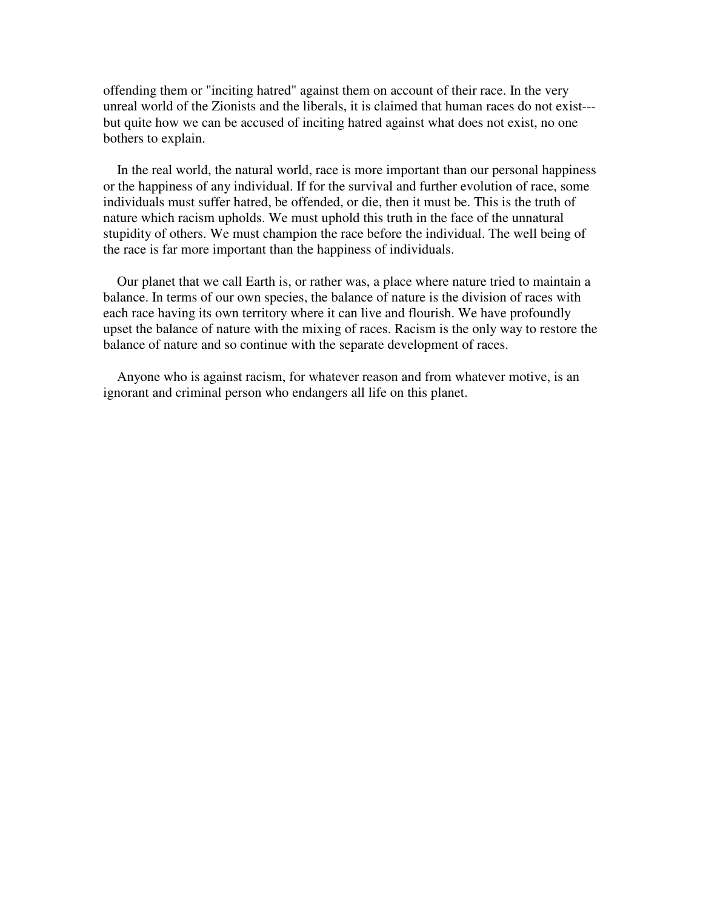offending them or "inciting hatred" against them on account of their race. In the very unreal world of the Zionists and the liberals, it is claimed that human races do not exist-- but quite how we can be accused of inciting hatred against what does not exist, no one bothers to explain.

 In the real world, the natural world, race is more important than our personal happiness or the happiness of any individual. If for the survival and further evolution of race, some individuals must suffer hatred, be offended, or die, then it must be. This is the truth of nature which racism upholds. We must uphold this truth in the face of the unnatural stupidity of others. We must champion the race before the individual. The well being of the race is far more important than the happiness of individuals.

 Our planet that we call Earth is, or rather was, a place where nature tried to maintain a balance. In terms of our own species, the balance of nature is the division of races with each race having its own territory where it can live and flourish. We have profoundly upset the balance of nature with the mixing of races. Racism is the only way to restore the balance of nature and so continue with the separate development of races.

 Anyone who is against racism, for whatever reason and from whatever motive, is an ignorant and criminal person who endangers all life on this planet.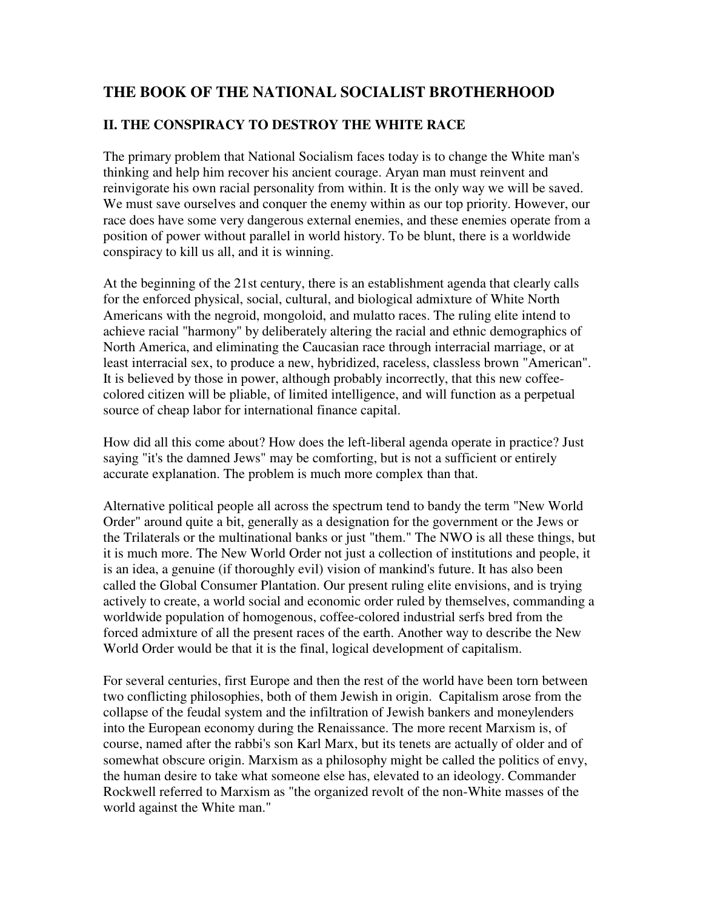# **THE BOOK OF THE NATIONAL SOCIALIST BROTHERHOOD**

## **II. THE CONSPIRACY TO DESTROY THE WHITE RACE**

The primary problem that National Socialism faces today is to change the White man's thinking and help him recover his ancient courage. Aryan man must reinvent and reinvigorate his own racial personality from within. It is the only way we will be saved. We must save ourselves and conquer the enemy within as our top priority. However, our race does have some very dangerous external enemies, and these enemies operate from a position of power without parallel in world history. To be blunt, there is a worldwide conspiracy to kill us all, and it is winning.

At the beginning of the 21st century, there is an establishment agenda that clearly calls for the enforced physical, social, cultural, and biological admixture of White North Americans with the negroid, mongoloid, and mulatto races. The ruling elite intend to achieve racial "harmony" by deliberately altering the racial and ethnic demographics of North America, and eliminating the Caucasian race through interracial marriage, or at least interracial sex, to produce a new, hybridized, raceless, classless brown "American". It is believed by those in power, although probably incorrectly, that this new coffeecolored citizen will be pliable, of limited intelligence, and will function as a perpetual source of cheap labor for international finance capital.

How did all this come about? How does the left-liberal agenda operate in practice? Just saying "it's the damned Jews" may be comforting, but is not a sufficient or entirely accurate explanation. The problem is much more complex than that.

Alternative political people all across the spectrum tend to bandy the term "New World Order" around quite a bit, generally as a designation for the government or the Jews or the Trilaterals or the multinational banks or just "them." The NWO is all these things, but it is much more. The New World Order not just a collection of institutions and people, it is an idea, a genuine (if thoroughly evil) vision of mankind's future. It has also been called the Global Consumer Plantation. Our present ruling elite envisions, and is trying actively to create, a world social and economic order ruled by themselves, commanding a worldwide population of homogenous, coffee-colored industrial serfs bred from the forced admixture of all the present races of the earth. Another way to describe the New World Order would be that it is the final, logical development of capitalism.

For several centuries, first Europe and then the rest of the world have been torn between two conflicting philosophies, both of them Jewish in origin. Capitalism arose from the collapse of the feudal system and the infiltration of Jewish bankers and moneylenders into the European economy during the Renaissance. The more recent Marxism is, of course, named after the rabbi's son Karl Marx, but its tenets are actually of older and of somewhat obscure origin. Marxism as a philosophy might be called the politics of envy, the human desire to take what someone else has, elevated to an ideology. Commander Rockwell referred to Marxism as "the organized revolt of the non-White masses of the world against the White man."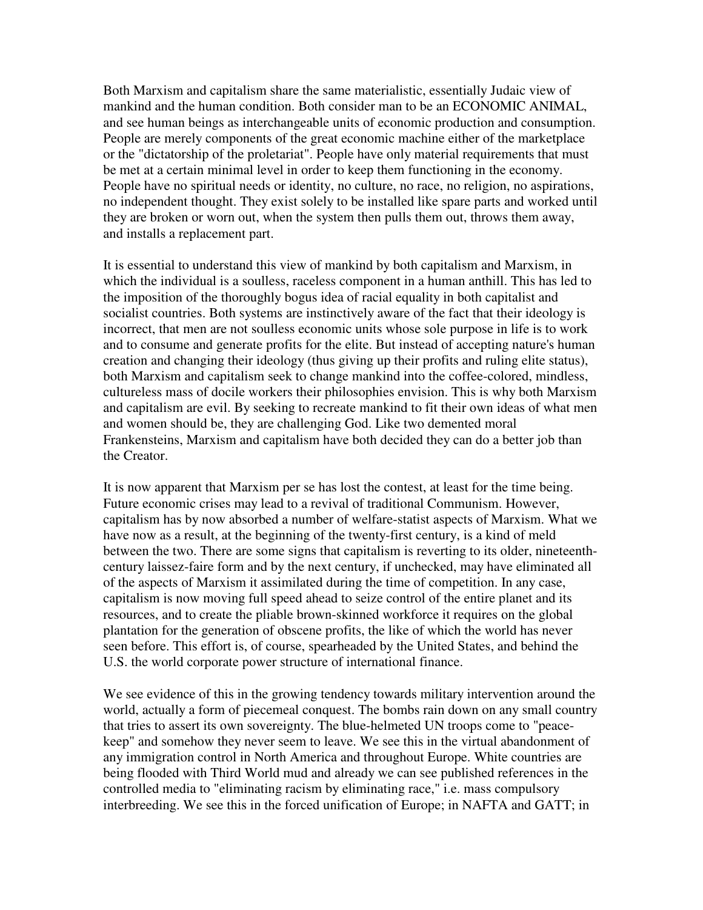Both Marxism and capitalism share the same materialistic, essentially Judaic view of mankind and the human condition. Both consider man to be an ECONOMIC ANIMAL, and see human beings as interchangeable units of economic production and consumption. People are merely components of the great economic machine either of the marketplace or the "dictatorship of the proletariat". People have only material requirements that must be met at a certain minimal level in order to keep them functioning in the economy. People have no spiritual needs or identity, no culture, no race, no religion, no aspirations, no independent thought. They exist solely to be installed like spare parts and worked until they are broken or worn out, when the system then pulls them out, throws them away, and installs a replacement part.

It is essential to understand this view of mankind by both capitalism and Marxism, in which the individual is a soulless, raceless component in a human anthill. This has led to the imposition of the thoroughly bogus idea of racial equality in both capitalist and socialist countries. Both systems are instinctively aware of the fact that their ideology is incorrect, that men are not soulless economic units whose sole purpose in life is to work and to consume and generate profits for the elite. But instead of accepting nature's human creation and changing their ideology (thus giving up their profits and ruling elite status), both Marxism and capitalism seek to change mankind into the coffee-colored, mindless, cultureless mass of docile workers their philosophies envision. This is why both Marxism and capitalism are evil. By seeking to recreate mankind to fit their own ideas of what men and women should be, they are challenging God. Like two demented moral Frankensteins, Marxism and capitalism have both decided they can do a better job than the Creator.

It is now apparent that Marxism per se has lost the contest, at least for the time being. Future economic crises may lead to a revival of traditional Communism. However, capitalism has by now absorbed a number of welfare-statist aspects of Marxism. What we have now as a result, at the beginning of the twenty-first century, is a kind of meld between the two. There are some signs that capitalism is reverting to its older, nineteenthcentury laissez-faire form and by the next century, if unchecked, may have eliminated all of the aspects of Marxism it assimilated during the time of competition. In any case, capitalism is now moving full speed ahead to seize control of the entire planet and its resources, and to create the pliable brown-skinned workforce it requires on the global plantation for the generation of obscene profits, the like of which the world has never seen before. This effort is, of course, spearheaded by the United States, and behind the U.S. the world corporate power structure of international finance.

We see evidence of this in the growing tendency towards military intervention around the world, actually a form of piecemeal conquest. The bombs rain down on any small country that tries to assert its own sovereignty. The blue-helmeted UN troops come to "peacekeep" and somehow they never seem to leave. We see this in the virtual abandonment of any immigration control in North America and throughout Europe. White countries are being flooded with Third World mud and already we can see published references in the controlled media to "eliminating racism by eliminating race," i.e. mass compulsory interbreeding. We see this in the forced unification of Europe; in NAFTA and GATT; in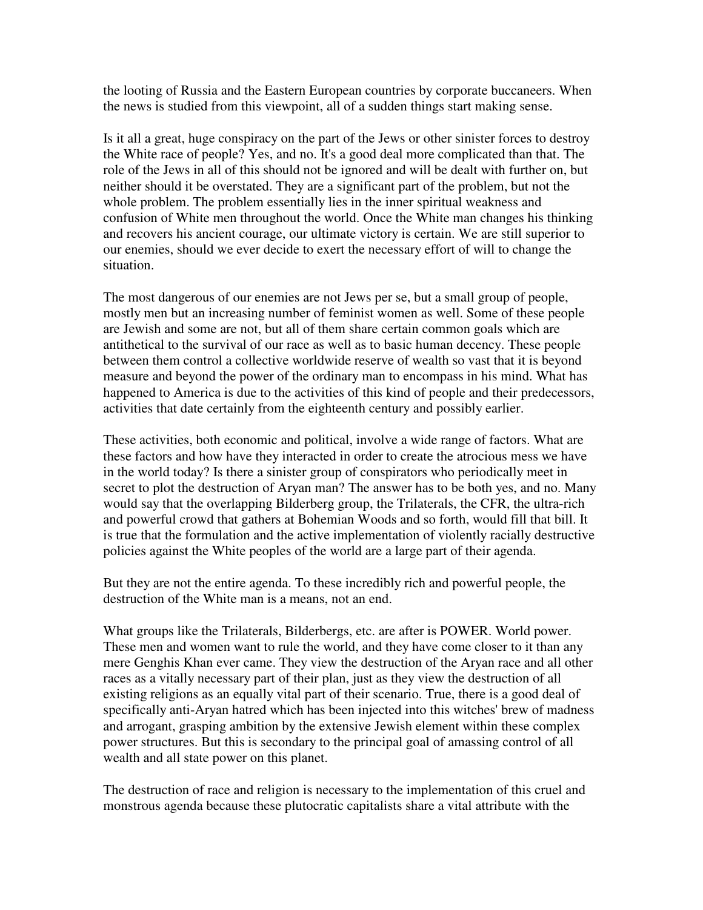the looting of Russia and the Eastern European countries by corporate buccaneers. When the news is studied from this viewpoint, all of a sudden things start making sense.

Is it all a great, huge conspiracy on the part of the Jews or other sinister forces to destroy the White race of people? Yes, and no. It's a good deal more complicated than that. The role of the Jews in all of this should not be ignored and will be dealt with further on, but neither should it be overstated. They are a significant part of the problem, but not the whole problem. The problem essentially lies in the inner spiritual weakness and confusion of White men throughout the world. Once the White man changes his thinking and recovers his ancient courage, our ultimate victory is certain. We are still superior to our enemies, should we ever decide to exert the necessary effort of will to change the situation.

The most dangerous of our enemies are not Jews per se, but a small group of people, mostly men but an increasing number of feminist women as well. Some of these people are Jewish and some are not, but all of them share certain common goals which are antithetical to the survival of our race as well as to basic human decency. These people between them control a collective worldwide reserve of wealth so vast that it is beyond measure and beyond the power of the ordinary man to encompass in his mind. What has happened to America is due to the activities of this kind of people and their predecessors, activities that date certainly from the eighteenth century and possibly earlier.

These activities, both economic and political, involve a wide range of factors. What are these factors and how have they interacted in order to create the atrocious mess we have in the world today? Is there a sinister group of conspirators who periodically meet in secret to plot the destruction of Aryan man? The answer has to be both yes, and no. Many would say that the overlapping Bilderberg group, the Trilaterals, the CFR, the ultra-rich and powerful crowd that gathers at Bohemian Woods and so forth, would fill that bill. It is true that the formulation and the active implementation of violently racially destructive policies against the White peoples of the world are a large part of their agenda.

But they are not the entire agenda. To these incredibly rich and powerful people, the destruction of the White man is a means, not an end.

What groups like the Trilaterals, Bilderbergs, etc. are after is POWER. World power. These men and women want to rule the world, and they have come closer to it than any mere Genghis Khan ever came. They view the destruction of the Aryan race and all other races as a vitally necessary part of their plan, just as they view the destruction of all existing religions as an equally vital part of their scenario. True, there is a good deal of specifically anti-Aryan hatred which has been injected into this witches' brew of madness and arrogant, grasping ambition by the extensive Jewish element within these complex power structures. But this is secondary to the principal goal of amassing control of all wealth and all state power on this planet.

The destruction of race and religion is necessary to the implementation of this cruel and monstrous agenda because these plutocratic capitalists share a vital attribute with the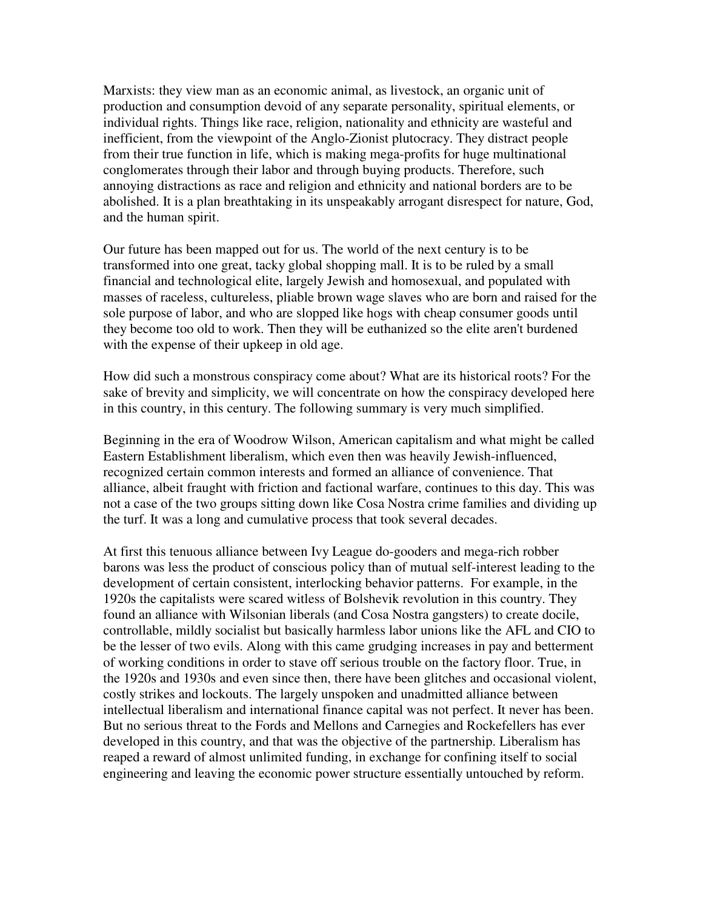Marxists: they view man as an economic animal, as livestock, an organic unit of production and consumption devoid of any separate personality, spiritual elements, or individual rights. Things like race, religion, nationality and ethnicity are wasteful and inefficient, from the viewpoint of the Anglo-Zionist plutocracy. They distract people from their true function in life, which is making mega-profits for huge multinational conglomerates through their labor and through buying products. Therefore, such annoying distractions as race and religion and ethnicity and national borders are to be abolished. It is a plan breathtaking in its unspeakably arrogant disrespect for nature, God, and the human spirit.

Our future has been mapped out for us. The world of the next century is to be transformed into one great, tacky global shopping mall. It is to be ruled by a small financial and technological elite, largely Jewish and homosexual, and populated with masses of raceless, cultureless, pliable brown wage slaves who are born and raised for the sole purpose of labor, and who are slopped like hogs with cheap consumer goods until they become too old to work. Then they will be euthanized so the elite aren't burdened with the expense of their upkeep in old age.

How did such a monstrous conspiracy come about? What are its historical roots? For the sake of brevity and simplicity, we will concentrate on how the conspiracy developed here in this country, in this century. The following summary is very much simplified.

Beginning in the era of Woodrow Wilson, American capitalism and what might be called Eastern Establishment liberalism, which even then was heavily Jewish-influenced, recognized certain common interests and formed an alliance of convenience. That alliance, albeit fraught with friction and factional warfare, continues to this day. This was not a case of the two groups sitting down like Cosa Nostra crime families and dividing up the turf. It was a long and cumulative process that took several decades.

At first this tenuous alliance between Ivy League do-gooders and mega-rich robber barons was less the product of conscious policy than of mutual self-interest leading to the development of certain consistent, interlocking behavior patterns. For example, in the 1920s the capitalists were scared witless of Bolshevik revolution in this country. They found an alliance with Wilsonian liberals (and Cosa Nostra gangsters) to create docile, controllable, mildly socialist but basically harmless labor unions like the AFL and CIO to be the lesser of two evils. Along with this came grudging increases in pay and betterment of working conditions in order to stave off serious trouble on the factory floor. True, in the 1920s and 1930s and even since then, there have been glitches and occasional violent, costly strikes and lockouts. The largely unspoken and unadmitted alliance between intellectual liberalism and international finance capital was not perfect. It never has been. But no serious threat to the Fords and Mellons and Carnegies and Rockefellers has ever developed in this country, and that was the objective of the partnership. Liberalism has reaped a reward of almost unlimited funding, in exchange for confining itself to social engineering and leaving the economic power structure essentially untouched by reform.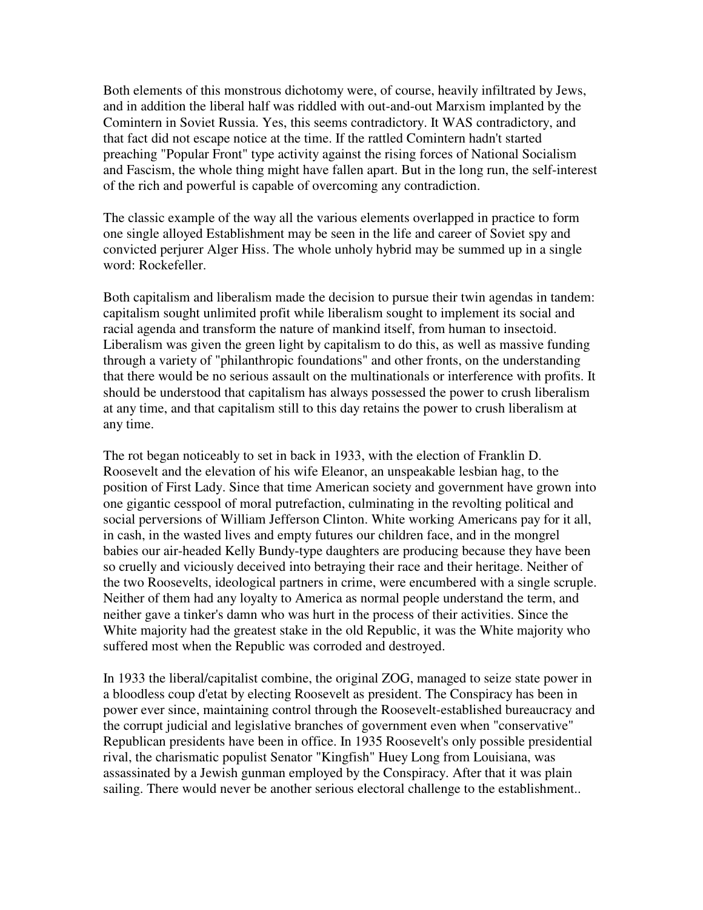Both elements of this monstrous dichotomy were, of course, heavily infiltrated by Jews, and in addition the liberal half was riddled with out-and-out Marxism implanted by the Comintern in Soviet Russia. Yes, this seems contradictory. It WAS contradictory, and that fact did not escape notice at the time. If the rattled Comintern hadn't started preaching "Popular Front" type activity against the rising forces of National Socialism and Fascism, the whole thing might have fallen apart. But in the long run, the self-interest of the rich and powerful is capable of overcoming any contradiction.

The classic example of the way all the various elements overlapped in practice to form one single alloyed Establishment may be seen in the life and career of Soviet spy and convicted perjurer Alger Hiss. The whole unholy hybrid may be summed up in a single word: Rockefeller.

Both capitalism and liberalism made the decision to pursue their twin agendas in tandem: capitalism sought unlimited profit while liberalism sought to implement its social and racial agenda and transform the nature of mankind itself, from human to insectoid. Liberalism was given the green light by capitalism to do this, as well as massive funding through a variety of "philanthropic foundations" and other fronts, on the understanding that there would be no serious assault on the multinationals or interference with profits. It should be understood that capitalism has always possessed the power to crush liberalism at any time, and that capitalism still to this day retains the power to crush liberalism at any time.

The rot began noticeably to set in back in 1933, with the election of Franklin D. Roosevelt and the elevation of his wife Eleanor, an unspeakable lesbian hag, to the position of First Lady. Since that time American society and government have grown into one gigantic cesspool of moral putrefaction, culminating in the revolting political and social perversions of William Jefferson Clinton. White working Americans pay for it all, in cash, in the wasted lives and empty futures our children face, and in the mongrel babies our air-headed Kelly Bundy-type daughters are producing because they have been so cruelly and viciously deceived into betraying their race and their heritage. Neither of the two Roosevelts, ideological partners in crime, were encumbered with a single scruple. Neither of them had any loyalty to America as normal people understand the term, and neither gave a tinker's damn who was hurt in the process of their activities. Since the White majority had the greatest stake in the old Republic, it was the White majority who suffered most when the Republic was corroded and destroyed.

In 1933 the liberal/capitalist combine, the original ZOG, managed to seize state power in a bloodless coup d'etat by electing Roosevelt as president. The Conspiracy has been in power ever since, maintaining control through the Roosevelt-established bureaucracy and the corrupt judicial and legislative branches of government even when "conservative" Republican presidents have been in office. In 1935 Roosevelt's only possible presidential rival, the charismatic populist Senator "Kingfish" Huey Long from Louisiana, was assassinated by a Jewish gunman employed by the Conspiracy. After that it was plain sailing. There would never be another serious electoral challenge to the establishment..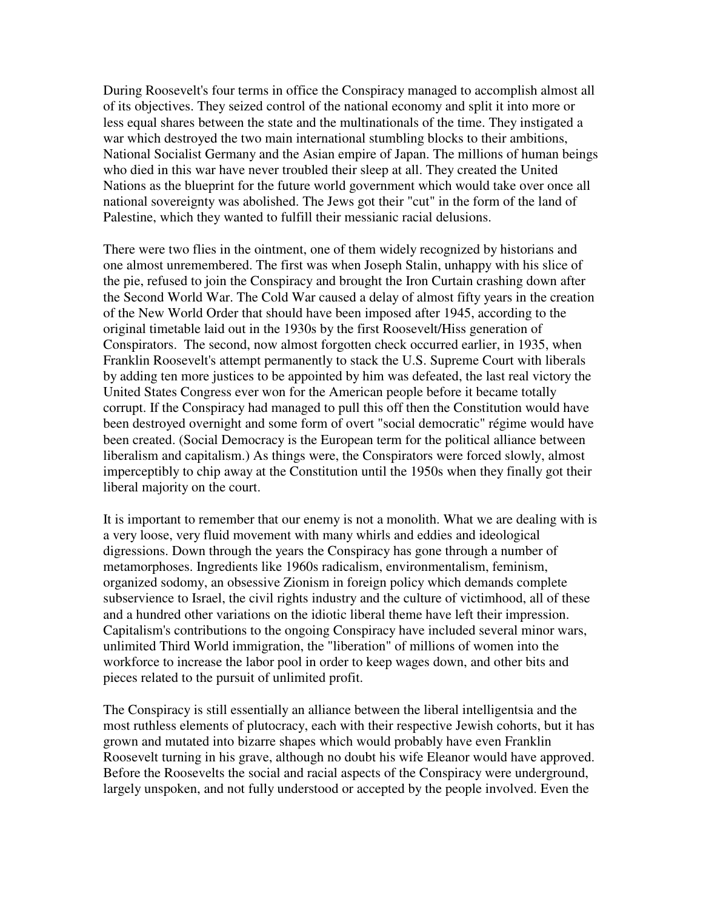During Roosevelt's four terms in office the Conspiracy managed to accomplish almost all of its objectives. They seized control of the national economy and split it into more or less equal shares between the state and the multinationals of the time. They instigated a war which destroyed the two main international stumbling blocks to their ambitions, National Socialist Germany and the Asian empire of Japan. The millions of human beings who died in this war have never troubled their sleep at all. They created the United Nations as the blueprint for the future world government which would take over once all national sovereignty was abolished. The Jews got their "cut" in the form of the land of Palestine, which they wanted to fulfill their messianic racial delusions.

There were two flies in the ointment, one of them widely recognized by historians and one almost unremembered. The first was when Joseph Stalin, unhappy with his slice of the pie, refused to join the Conspiracy and brought the Iron Curtain crashing down after the Second World War. The Cold War caused a delay of almost fifty years in the creation of the New World Order that should have been imposed after 1945, according to the original timetable laid out in the 1930s by the first Roosevelt/Hiss generation of Conspirators. The second, now almost forgotten check occurred earlier, in 1935, when Franklin Roosevelt's attempt permanently to stack the U.S. Supreme Court with liberals by adding ten more justices to be appointed by him was defeated, the last real victory the United States Congress ever won for the American people before it became totally corrupt. If the Conspiracy had managed to pull this off then the Constitution would have been destroyed overnight and some form of overt "social democratic" régime would have been created. (Social Democracy is the European term for the political alliance between liberalism and capitalism.) As things were, the Conspirators were forced slowly, almost imperceptibly to chip away at the Constitution until the 1950s when they finally got their liberal majority on the court.

It is important to remember that our enemy is not a monolith. What we are dealing with is a very loose, very fluid movement with many whirls and eddies and ideological digressions. Down through the years the Conspiracy has gone through a number of metamorphoses. Ingredients like 1960s radicalism, environmentalism, feminism, organized sodomy, an obsessive Zionism in foreign policy which demands complete subservience to Israel, the civil rights industry and the culture of victimhood, all of these and a hundred other variations on the idiotic liberal theme have left their impression. Capitalism's contributions to the ongoing Conspiracy have included several minor wars, unlimited Third World immigration, the "liberation" of millions of women into the workforce to increase the labor pool in order to keep wages down, and other bits and pieces related to the pursuit of unlimited profit.

The Conspiracy is still essentially an alliance between the liberal intelligentsia and the most ruthless elements of plutocracy, each with their respective Jewish cohorts, but it has grown and mutated into bizarre shapes which would probably have even Franklin Roosevelt turning in his grave, although no doubt his wife Eleanor would have approved. Before the Roosevelts the social and racial aspects of the Conspiracy were underground, largely unspoken, and not fully understood or accepted by the people involved. Even the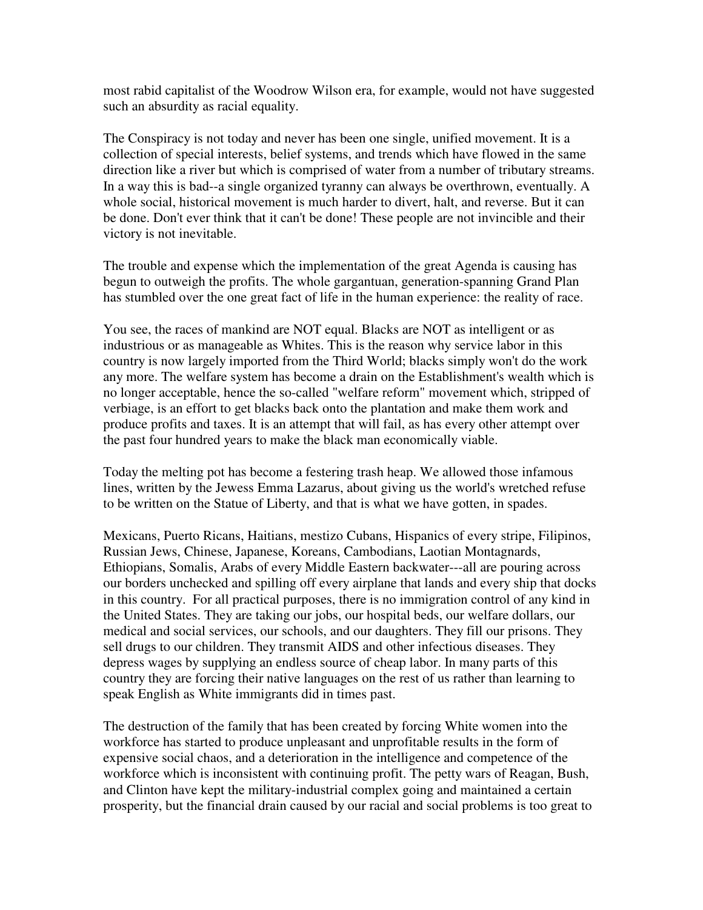most rabid capitalist of the Woodrow Wilson era, for example, would not have suggested such an absurdity as racial equality.

The Conspiracy is not today and never has been one single, unified movement. It is a collection of special interests, belief systems, and trends which have flowed in the same direction like a river but which is comprised of water from a number of tributary streams. In a way this is bad--a single organized tyranny can always be overthrown, eventually. A whole social, historical movement is much harder to divert, halt, and reverse. But it can be done. Don't ever think that it can't be done! These people are not invincible and their victory is not inevitable.

The trouble and expense which the implementation of the great Agenda is causing has begun to outweigh the profits. The whole gargantuan, generation-spanning Grand Plan has stumbled over the one great fact of life in the human experience: the reality of race.

You see, the races of mankind are NOT equal. Blacks are NOT as intelligent or as industrious or as manageable as Whites. This is the reason why service labor in this country is now largely imported from the Third World; blacks simply won't do the work any more. The welfare system has become a drain on the Establishment's wealth which is no longer acceptable, hence the so-called "welfare reform" movement which, stripped of verbiage, is an effort to get blacks back onto the plantation and make them work and produce profits and taxes. It is an attempt that will fail, as has every other attempt over the past four hundred years to make the black man economically viable.

Today the melting pot has become a festering trash heap. We allowed those infamous lines, written by the Jewess Emma Lazarus, about giving us the world's wretched refuse to be written on the Statue of Liberty, and that is what we have gotten, in spades.

Mexicans, Puerto Ricans, Haitians, mestizo Cubans, Hispanics of every stripe, Filipinos, Russian Jews, Chinese, Japanese, Koreans, Cambodians, Laotian Montagnards, Ethiopians, Somalis, Arabs of every Middle Eastern backwater---all are pouring across our borders unchecked and spilling off every airplane that lands and every ship that docks in this country. For all practical purposes, there is no immigration control of any kind in the United States. They are taking our jobs, our hospital beds, our welfare dollars, our medical and social services, our schools, and our daughters. They fill our prisons. They sell drugs to our children. They transmit AIDS and other infectious diseases. They depress wages by supplying an endless source of cheap labor. In many parts of this country they are forcing their native languages on the rest of us rather than learning to speak English as White immigrants did in times past.

The destruction of the family that has been created by forcing White women into the workforce has started to produce unpleasant and unprofitable results in the form of expensive social chaos, and a deterioration in the intelligence and competence of the workforce which is inconsistent with continuing profit. The petty wars of Reagan, Bush, and Clinton have kept the military-industrial complex going and maintained a certain prosperity, but the financial drain caused by our racial and social problems is too great to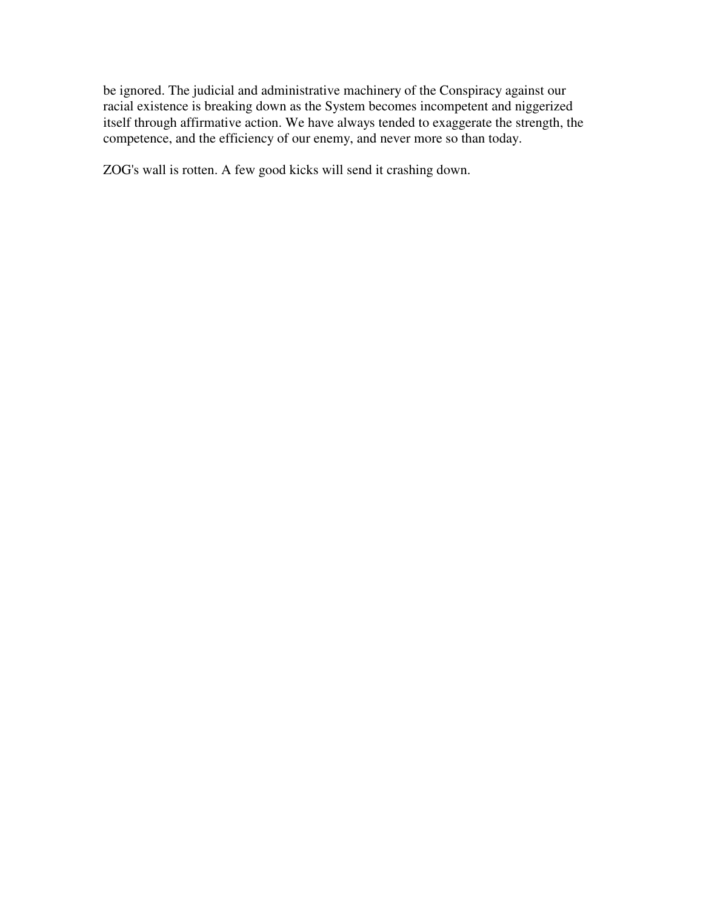be ignored. The judicial and administrative machinery of the Conspiracy against our racial existence is breaking down as the System becomes incompetent and niggerized itself through affirmative action. We have always tended to exaggerate the strength, the competence, and the efficiency of our enemy, and never more so than today.

ZOG's wall is rotten. A few good kicks will send it crashing down.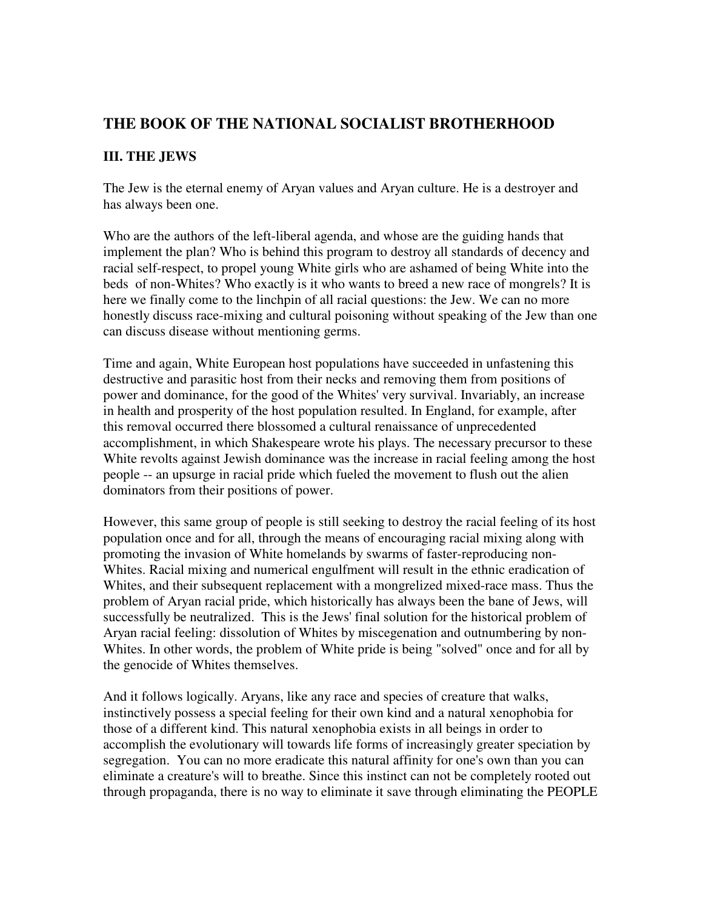## **THE BOOK OF THE NATIONAL SOCIALIST BROTHERHOOD**

### **III. THE JEWS**

The Jew is the eternal enemy of Aryan values and Aryan culture. He is a destroyer and has always been one.

Who are the authors of the left-liberal agenda, and whose are the guiding hands that implement the plan? Who is behind this program to destroy all standards of decency and racial self-respect, to propel young White girls who are ashamed of being White into the beds of non-Whites? Who exactly is it who wants to breed a new race of mongrels? It is here we finally come to the linchpin of all racial questions: the Jew. We can no more honestly discuss race-mixing and cultural poisoning without speaking of the Jew than one can discuss disease without mentioning germs.

Time and again, White European host populations have succeeded in unfastening this destructive and parasitic host from their necks and removing them from positions of power and dominance, for the good of the Whites' very survival. Invariably, an increase in health and prosperity of the host population resulted. In England, for example, after this removal occurred there blossomed a cultural renaissance of unprecedented accomplishment, in which Shakespeare wrote his plays. The necessary precursor to these White revolts against Jewish dominance was the increase in racial feeling among the host people -- an upsurge in racial pride which fueled the movement to flush out the alien dominators from their positions of power.

However, this same group of people is still seeking to destroy the racial feeling of its host population once and for all, through the means of encouraging racial mixing along with promoting the invasion of White homelands by swarms of faster-reproducing non-Whites. Racial mixing and numerical engulfment will result in the ethnic eradication of Whites, and their subsequent replacement with a mongrelized mixed-race mass. Thus the problem of Aryan racial pride, which historically has always been the bane of Jews, will successfully be neutralized. This is the Jews' final solution for the historical problem of Aryan racial feeling: dissolution of Whites by miscegenation and outnumbering by non-Whites. In other words, the problem of White pride is being "solved" once and for all by the genocide of Whites themselves.

And it follows logically. Aryans, like any race and species of creature that walks, instinctively possess a special feeling for their own kind and a natural xenophobia for those of a different kind. This natural xenophobia exists in all beings in order to accomplish the evolutionary will towards life forms of increasingly greater speciation by segregation. You can no more eradicate this natural affinity for one's own than you can eliminate a creature's will to breathe. Since this instinct can not be completely rooted out through propaganda, there is no way to eliminate it save through eliminating the PEOPLE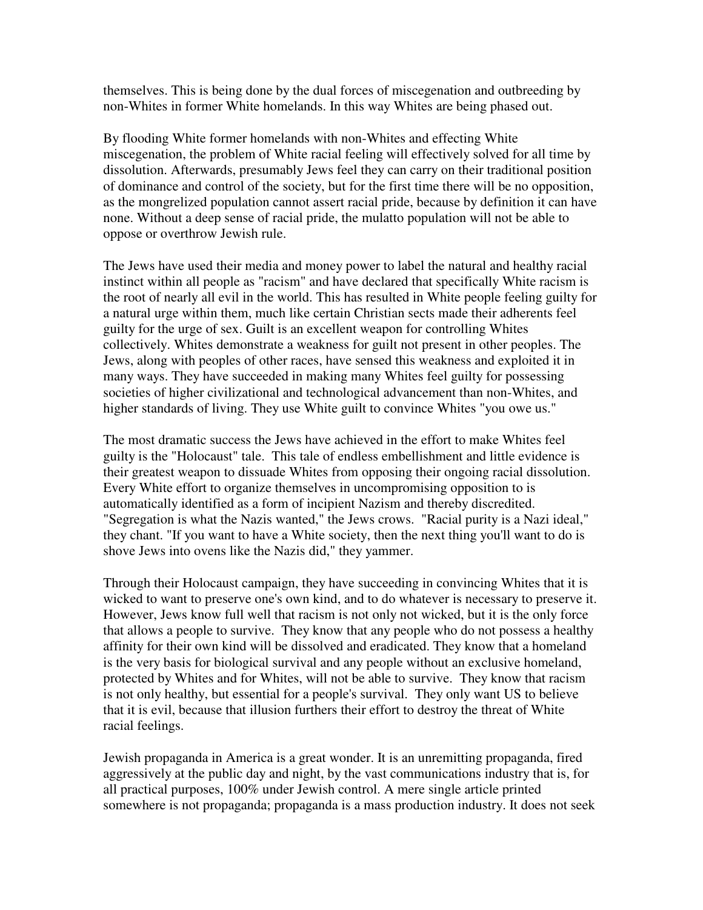themselves. This is being done by the dual forces of miscegenation and outbreeding by non-Whites in former White homelands. In this way Whites are being phased out.

By flooding White former homelands with non-Whites and effecting White miscegenation, the problem of White racial feeling will effectively solved for all time by dissolution. Afterwards, presumably Jews feel they can carry on their traditional position of dominance and control of the society, but for the first time there will be no opposition, as the mongrelized population cannot assert racial pride, because by definition it can have none. Without a deep sense of racial pride, the mulatto population will not be able to oppose or overthrow Jewish rule.

The Jews have used their media and money power to label the natural and healthy racial instinct within all people as "racism" and have declared that specifically White racism is the root of nearly all evil in the world. This has resulted in White people feeling guilty for a natural urge within them, much like certain Christian sects made their adherents feel guilty for the urge of sex. Guilt is an excellent weapon for controlling Whites collectively. Whites demonstrate a weakness for guilt not present in other peoples. The Jews, along with peoples of other races, have sensed this weakness and exploited it in many ways. They have succeeded in making many Whites feel guilty for possessing societies of higher civilizational and technological advancement than non-Whites, and higher standards of living. They use White guilt to convince Whites "you owe us."

The most dramatic success the Jews have achieved in the effort to make Whites feel guilty is the "Holocaust" tale. This tale of endless embellishment and little evidence is their greatest weapon to dissuade Whites from opposing their ongoing racial dissolution. Every White effort to organize themselves in uncompromising opposition to is automatically identified as a form of incipient Nazism and thereby discredited. "Segregation is what the Nazis wanted," the Jews crows. "Racial purity is a Nazi ideal," they chant. "If you want to have a White society, then the next thing you'll want to do is shove Jews into ovens like the Nazis did," they yammer.

Through their Holocaust campaign, they have succeeding in convincing Whites that it is wicked to want to preserve one's own kind, and to do whatever is necessary to preserve it. However, Jews know full well that racism is not only not wicked, but it is the only force that allows a people to survive. They know that any people who do not possess a healthy affinity for their own kind will be dissolved and eradicated. They know that a homeland is the very basis for biological survival and any people without an exclusive homeland, protected by Whites and for Whites, will not be able to survive. They know that racism is not only healthy, but essential for a people's survival. They only want US to believe that it is evil, because that illusion furthers their effort to destroy the threat of White racial feelings.

Jewish propaganda in America is a great wonder. It is an unremitting propaganda, fired aggressively at the public day and night, by the vast communications industry that is, for all practical purposes, 100% under Jewish control. A mere single article printed somewhere is not propaganda; propaganda is a mass production industry. It does not seek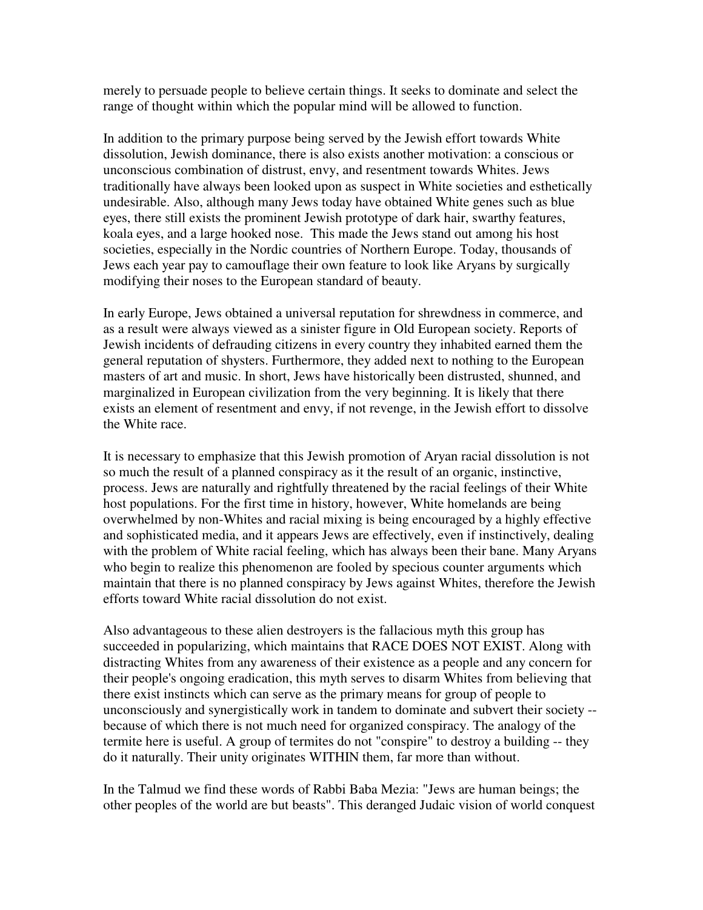merely to persuade people to believe certain things. It seeks to dominate and select the range of thought within which the popular mind will be allowed to function.

In addition to the primary purpose being served by the Jewish effort towards White dissolution, Jewish dominance, there is also exists another motivation: a conscious or unconscious combination of distrust, envy, and resentment towards Whites. Jews traditionally have always been looked upon as suspect in White societies and esthetically undesirable. Also, although many Jews today have obtained White genes such as blue eyes, there still exists the prominent Jewish prototype of dark hair, swarthy features, koala eyes, and a large hooked nose. This made the Jews stand out among his host societies, especially in the Nordic countries of Northern Europe. Today, thousands of Jews each year pay to camouflage their own feature to look like Aryans by surgically modifying their noses to the European standard of beauty.

In early Europe, Jews obtained a universal reputation for shrewdness in commerce, and as a result were always viewed as a sinister figure in Old European society. Reports of Jewish incidents of defrauding citizens in every country they inhabited earned them the general reputation of shysters. Furthermore, they added next to nothing to the European masters of art and music. In short, Jews have historically been distrusted, shunned, and marginalized in European civilization from the very beginning. It is likely that there exists an element of resentment and envy, if not revenge, in the Jewish effort to dissolve the White race.

It is necessary to emphasize that this Jewish promotion of Aryan racial dissolution is not so much the result of a planned conspiracy as it the result of an organic, instinctive, process. Jews are naturally and rightfully threatened by the racial feelings of their White host populations. For the first time in history, however, White homelands are being overwhelmed by non-Whites and racial mixing is being encouraged by a highly effective and sophisticated media, and it appears Jews are effectively, even if instinctively, dealing with the problem of White racial feeling, which has always been their bane. Many Aryans who begin to realize this phenomenon are fooled by specious counter arguments which maintain that there is no planned conspiracy by Jews against Whites, therefore the Jewish efforts toward White racial dissolution do not exist.

Also advantageous to these alien destroyers is the fallacious myth this group has succeeded in popularizing, which maintains that RACE DOES NOT EXIST. Along with distracting Whites from any awareness of their existence as a people and any concern for their people's ongoing eradication, this myth serves to disarm Whites from believing that there exist instincts which can serve as the primary means for group of people to unconsciously and synergistically work in tandem to dominate and subvert their society - because of which there is not much need for organized conspiracy. The analogy of the termite here is useful. A group of termites do not "conspire" to destroy a building -- they do it naturally. Their unity originates WITHIN them, far more than without.

In the Talmud we find these words of Rabbi Baba Mezia: "Jews are human beings; the other peoples of the world are but beasts". This deranged Judaic vision of world conquest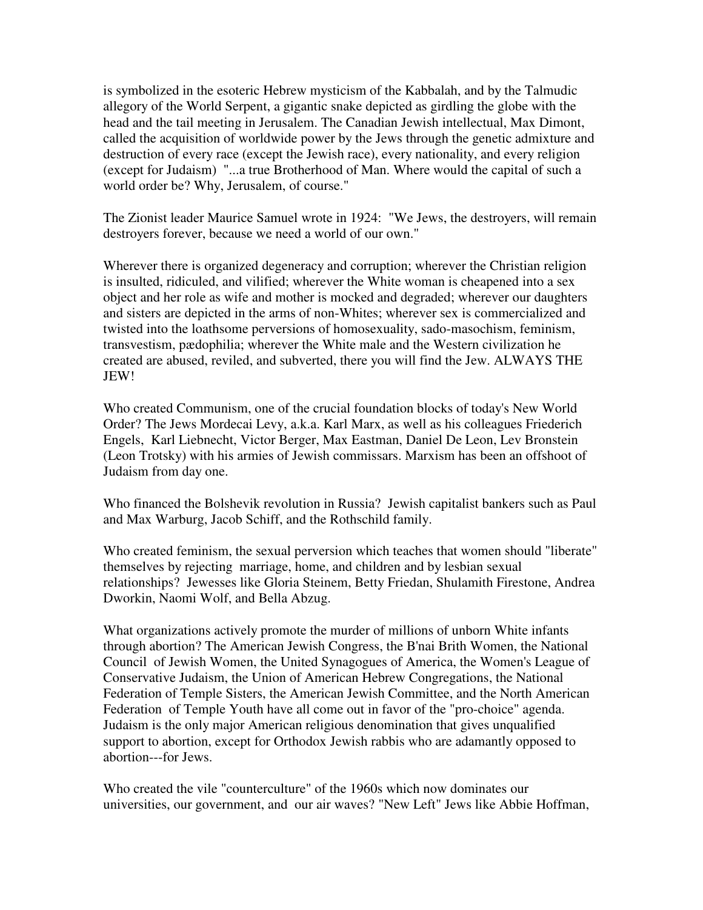is symbolized in the esoteric Hebrew mysticism of the Kabbalah, and by the Talmudic allegory of the World Serpent, a gigantic snake depicted as girdling the globe with the head and the tail meeting in Jerusalem. The Canadian Jewish intellectual, Max Dimont, called the acquisition of worldwide power by the Jews through the genetic admixture and destruction of every race (except the Jewish race), every nationality, and every religion (except for Judaism) "...a true Brotherhood of Man. Where would the capital of such a world order be? Why, Jerusalem, of course."

The Zionist leader Maurice Samuel wrote in 1924: "We Jews, the destroyers, will remain destroyers forever, because we need a world of our own."

Wherever there is organized degeneracy and corruption; wherever the Christian religion is insulted, ridiculed, and vilified; wherever the White woman is cheapened into a sex object and her role as wife and mother is mocked and degraded; wherever our daughters and sisters are depicted in the arms of non-Whites; wherever sex is commercialized and twisted into the loathsome perversions of homosexuality, sado-masochism, feminism, transvestism, pædophilia; wherever the White male and the Western civilization he created are abused, reviled, and subverted, there you will find the Jew. ALWAYS THE JEW!

Who created Communism, one of the crucial foundation blocks of today's New World Order? The Jews Mordecai Levy, a.k.a. Karl Marx, as well as his colleagues Friederich Engels, Karl Liebnecht, Victor Berger, Max Eastman, Daniel De Leon, Lev Bronstein (Leon Trotsky) with his armies of Jewish commissars. Marxism has been an offshoot of Judaism from day one.

Who financed the Bolshevik revolution in Russia? Jewish capitalist bankers such as Paul and Max Warburg, Jacob Schiff, and the Rothschild family.

Who created feminism, the sexual perversion which teaches that women should "liberate" themselves by rejecting marriage, home, and children and by lesbian sexual relationships? Jewesses like Gloria Steinem, Betty Friedan, Shulamith Firestone, Andrea Dworkin, Naomi Wolf, and Bella Abzug.

What organizations actively promote the murder of millions of unborn White infants through abortion? The American Jewish Congress, the B'nai Brith Women, the National Council of Jewish Women, the United Synagogues of America, the Women's League of Conservative Judaism, the Union of American Hebrew Congregations, the National Federation of Temple Sisters, the American Jewish Committee, and the North American Federation of Temple Youth have all come out in favor of the "pro-choice" agenda. Judaism is the only major American religious denomination that gives unqualified support to abortion, except for Orthodox Jewish rabbis who are adamantly opposed to abortion---for Jews.

Who created the vile "counterculture" of the 1960s which now dominates our universities, our government, and our air waves? "New Left" Jews like Abbie Hoffman,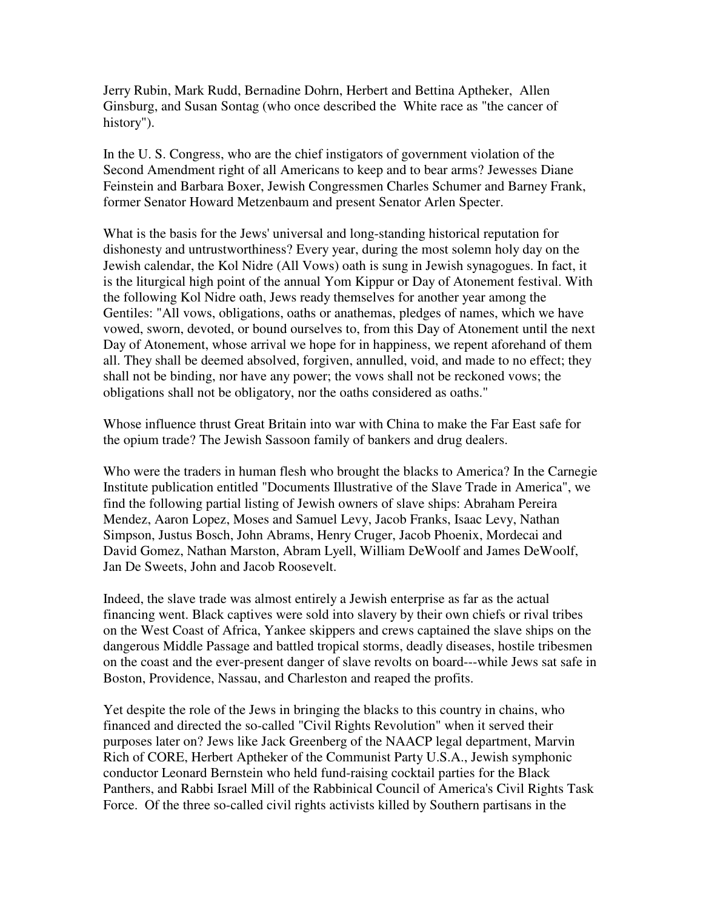Jerry Rubin, Mark Rudd, Bernadine Dohrn, Herbert and Bettina Aptheker, Allen Ginsburg, and Susan Sontag (who once described the White race as "the cancer of history").

In the U. S. Congress, who are the chief instigators of government violation of the Second Amendment right of all Americans to keep and to bear arms? Jewesses Diane Feinstein and Barbara Boxer, Jewish Congressmen Charles Schumer and Barney Frank, former Senator Howard Metzenbaum and present Senator Arlen Specter.

What is the basis for the Jews' universal and long-standing historical reputation for dishonesty and untrustworthiness? Every year, during the most solemn holy day on the Jewish calendar, the Kol Nidre (All Vows) oath is sung in Jewish synagogues. In fact, it is the liturgical high point of the annual Yom Kippur or Day of Atonement festival. With the following Kol Nidre oath, Jews ready themselves for another year among the Gentiles: "All vows, obligations, oaths or anathemas, pledges of names, which we have vowed, sworn, devoted, or bound ourselves to, from this Day of Atonement until the next Day of Atonement, whose arrival we hope for in happiness, we repent aforehand of them all. They shall be deemed absolved, forgiven, annulled, void, and made to no effect; they shall not be binding, nor have any power; the vows shall not be reckoned vows; the obligations shall not be obligatory, nor the oaths considered as oaths."

Whose influence thrust Great Britain into war with China to make the Far East safe for the opium trade? The Jewish Sassoon family of bankers and drug dealers.

Who were the traders in human flesh who brought the blacks to America? In the Carnegie Institute publication entitled "Documents Illustrative of the Slave Trade in America", we find the following partial listing of Jewish owners of slave ships: Abraham Pereira Mendez, Aaron Lopez, Moses and Samuel Levy, Jacob Franks, Isaac Levy, Nathan Simpson, Justus Bosch, John Abrams, Henry Cruger, Jacob Phoenix, Mordecai and David Gomez, Nathan Marston, Abram Lyell, William DeWoolf and James DeWoolf, Jan De Sweets, John and Jacob Roosevelt.

Indeed, the slave trade was almost entirely a Jewish enterprise as far as the actual financing went. Black captives were sold into slavery by their own chiefs or rival tribes on the West Coast of Africa, Yankee skippers and crews captained the slave ships on the dangerous Middle Passage and battled tropical storms, deadly diseases, hostile tribesmen on the coast and the ever-present danger of slave revolts on board---while Jews sat safe in Boston, Providence, Nassau, and Charleston and reaped the profits.

Yet despite the role of the Jews in bringing the blacks to this country in chains, who financed and directed the so-called "Civil Rights Revolution" when it served their purposes later on? Jews like Jack Greenberg of the NAACP legal department, Marvin Rich of CORE, Herbert Aptheker of the Communist Party U.S.A., Jewish symphonic conductor Leonard Bernstein who held fund-raising cocktail parties for the Black Panthers, and Rabbi Israel Mill of the Rabbinical Council of America's Civil Rights Task Force. Of the three so-called civil rights activists killed by Southern partisans in the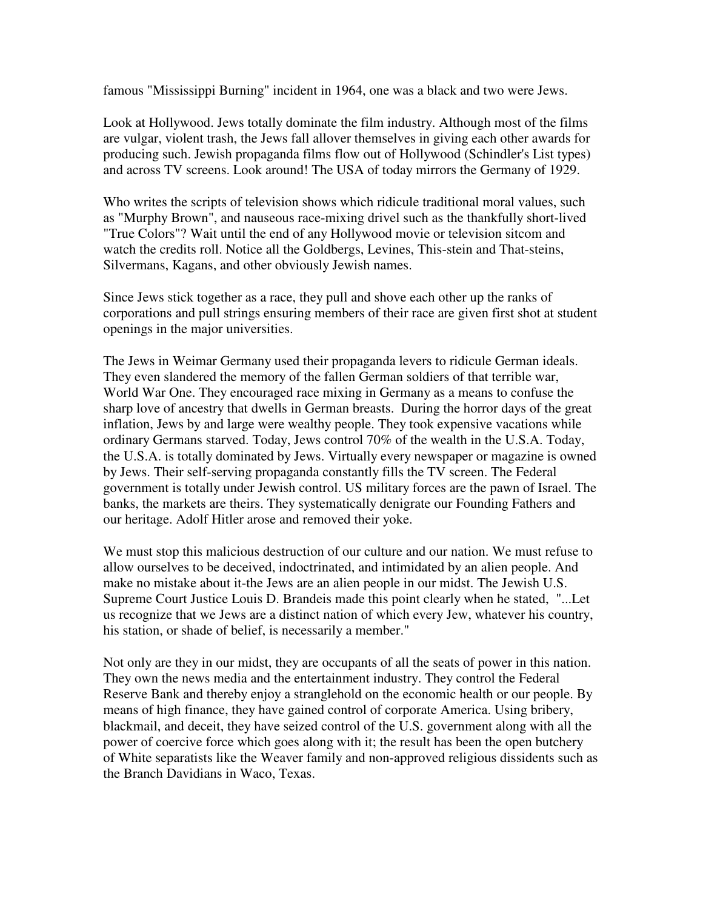famous "Mississippi Burning" incident in 1964, one was a black and two were Jews.

Look at Hollywood. Jews totally dominate the film industry. Although most of the films are vulgar, violent trash, the Jews fall allover themselves in giving each other awards for producing such. Jewish propaganda films flow out of Hollywood (Schindler's List types) and across TV screens. Look around! The USA of today mirrors the Germany of 1929.

Who writes the scripts of television shows which ridicule traditional moral values, such as "Murphy Brown", and nauseous race-mixing drivel such as the thankfully short-lived "True Colors"? Wait until the end of any Hollywood movie or television sitcom and watch the credits roll. Notice all the Goldbergs, Levines, This-stein and That-steins, Silvermans, Kagans, and other obviously Jewish names.

Since Jews stick together as a race, they pull and shove each other up the ranks of corporations and pull strings ensuring members of their race are given first shot at student openings in the major universities.

The Jews in Weimar Germany used their propaganda levers to ridicule German ideals. They even slandered the memory of the fallen German soldiers of that terrible war, World War One. They encouraged race mixing in Germany as a means to confuse the sharp love of ancestry that dwells in German breasts. During the horror days of the great inflation, Jews by and large were wealthy people. They took expensive vacations while ordinary Germans starved. Today, Jews control 70% of the wealth in the U.S.A. Today, the U.S.A. is totally dominated by Jews. Virtually every newspaper or magazine is owned by Jews. Their self-serving propaganda constantly fills the TV screen. The Federal government is totally under Jewish control. US military forces are the pawn of Israel. The banks, the markets are theirs. They systematically denigrate our Founding Fathers and our heritage. Adolf Hitler arose and removed their yoke.

We must stop this malicious destruction of our culture and our nation. We must refuse to allow ourselves to be deceived, indoctrinated, and intimidated by an alien people. And make no mistake about it-the Jews are an alien people in our midst. The Jewish U.S. Supreme Court Justice Louis D. Brandeis made this point clearly when he stated, "...Let us recognize that we Jews are a distinct nation of which every Jew, whatever his country, his station, or shade of belief, is necessarily a member."

Not only are they in our midst, they are occupants of all the seats of power in this nation. They own the news media and the entertainment industry. They control the Federal Reserve Bank and thereby enjoy a stranglehold on the economic health or our people. By means of high finance, they have gained control of corporate America. Using bribery, blackmail, and deceit, they have seized control of the U.S. government along with all the power of coercive force which goes along with it; the result has been the open butchery of White separatists like the Weaver family and non-approved religious dissidents such as the Branch Davidians in Waco, Texas.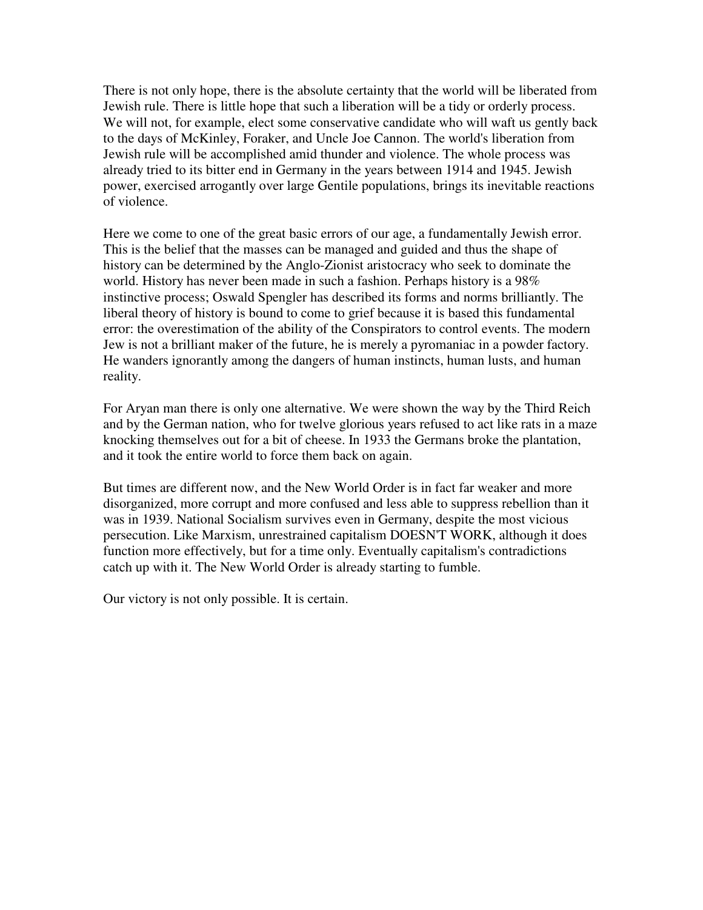There is not only hope, there is the absolute certainty that the world will be liberated from Jewish rule. There is little hope that such a liberation will be a tidy or orderly process. We will not, for example, elect some conservative candidate who will waft us gently back to the days of McKinley, Foraker, and Uncle Joe Cannon. The world's liberation from Jewish rule will be accomplished amid thunder and violence. The whole process was already tried to its bitter end in Germany in the years between 1914 and 1945. Jewish power, exercised arrogantly over large Gentile populations, brings its inevitable reactions of violence.

Here we come to one of the great basic errors of our age, a fundamentally Jewish error. This is the belief that the masses can be managed and guided and thus the shape of history can be determined by the Anglo-Zionist aristocracy who seek to dominate the world. History has never been made in such a fashion. Perhaps history is a 98% instinctive process; Oswald Spengler has described its forms and norms brilliantly. The liberal theory of history is bound to come to grief because it is based this fundamental error: the overestimation of the ability of the Conspirators to control events. The modern Jew is not a brilliant maker of the future, he is merely a pyromaniac in a powder factory. He wanders ignorantly among the dangers of human instincts, human lusts, and human reality.

For Aryan man there is only one alternative. We were shown the way by the Third Reich and by the German nation, who for twelve glorious years refused to act like rats in a maze knocking themselves out for a bit of cheese. In 1933 the Germans broke the plantation, and it took the entire world to force them back on again.

But times are different now, and the New World Order is in fact far weaker and more disorganized, more corrupt and more confused and less able to suppress rebellion than it was in 1939. National Socialism survives even in Germany, despite the most vicious persecution. Like Marxism, unrestrained capitalism DOESN'T WORK, although it does function more effectively, but for a time only. Eventually capitalism's contradictions catch up with it. The New World Order is already starting to fumble.

Our victory is not only possible. It is certain.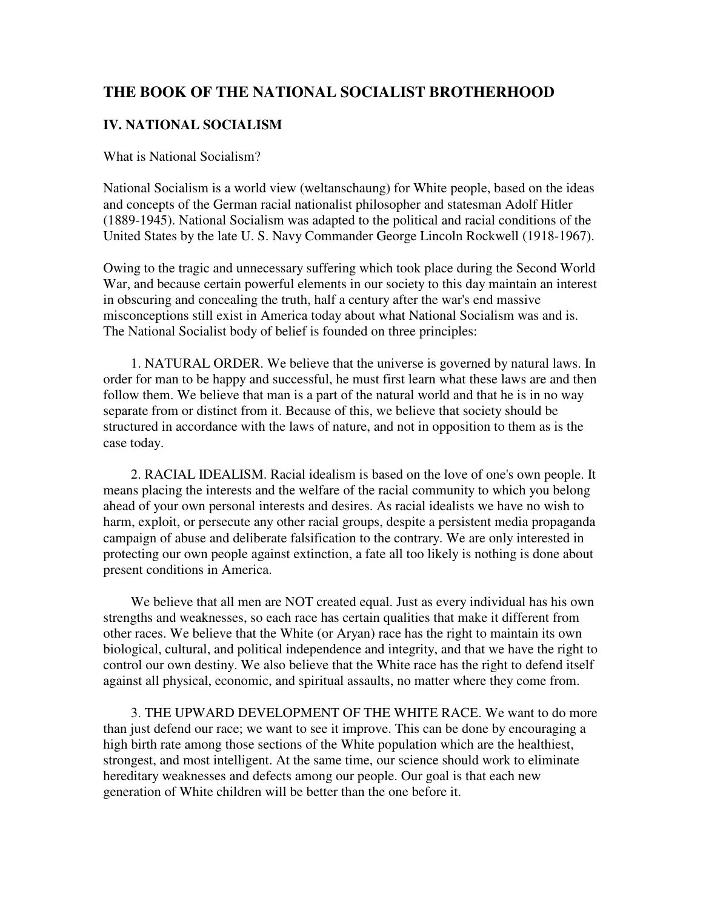## **THE BOOK OF THE NATIONAL SOCIALIST BROTHERHOOD**

### **IV. NATIONAL SOCIALISM**

What is National Socialism?

National Socialism is a world view (weltanschaung) for White people, based on the ideas and concepts of the German racial nationalist philosopher and statesman Adolf Hitler (1889-1945). National Socialism was adapted to the political and racial conditions of the United States by the late U. S. Navy Commander George Lincoln Rockwell (1918-1967).

Owing to the tragic and unnecessary suffering which took place during the Second World War, and because certain powerful elements in our society to this day maintain an interest in obscuring and concealing the truth, half a century after the war's end massive misconceptions still exist in America today about what National Socialism was and is. The National Socialist body of belief is founded on three principles:

 1. NATURAL ORDER. We believe that the universe is governed by natural laws. In order for man to be happy and successful, he must first learn what these laws are and then follow them. We believe that man is a part of the natural world and that he is in no way separate from or distinct from it. Because of this, we believe that society should be structured in accordance with the laws of nature, and not in opposition to them as is the case today.

 2. RACIAL IDEALISM. Racial idealism is based on the love of one's own people. It means placing the interests and the welfare of the racial community to which you belong ahead of your own personal interests and desires. As racial idealists we have no wish to harm, exploit, or persecute any other racial groups, despite a persistent media propaganda campaign of abuse and deliberate falsification to the contrary. We are only interested in protecting our own people against extinction, a fate all too likely is nothing is done about present conditions in America.

We believe that all men are NOT created equal. Just as every individual has his own strengths and weaknesses, so each race has certain qualities that make it different from other races. We believe that the White (or Aryan) race has the right to maintain its own biological, cultural, and political independence and integrity, and that we have the right to control our own destiny. We also believe that the White race has the right to defend itself against all physical, economic, and spiritual assaults, no matter where they come from.

 3. THE UPWARD DEVELOPMENT OF THE WHITE RACE. We want to do more than just defend our race; we want to see it improve. This can be done by encouraging a high birth rate among those sections of the White population which are the healthiest, strongest, and most intelligent. At the same time, our science should work to eliminate hereditary weaknesses and defects among our people. Our goal is that each new generation of White children will be better than the one before it.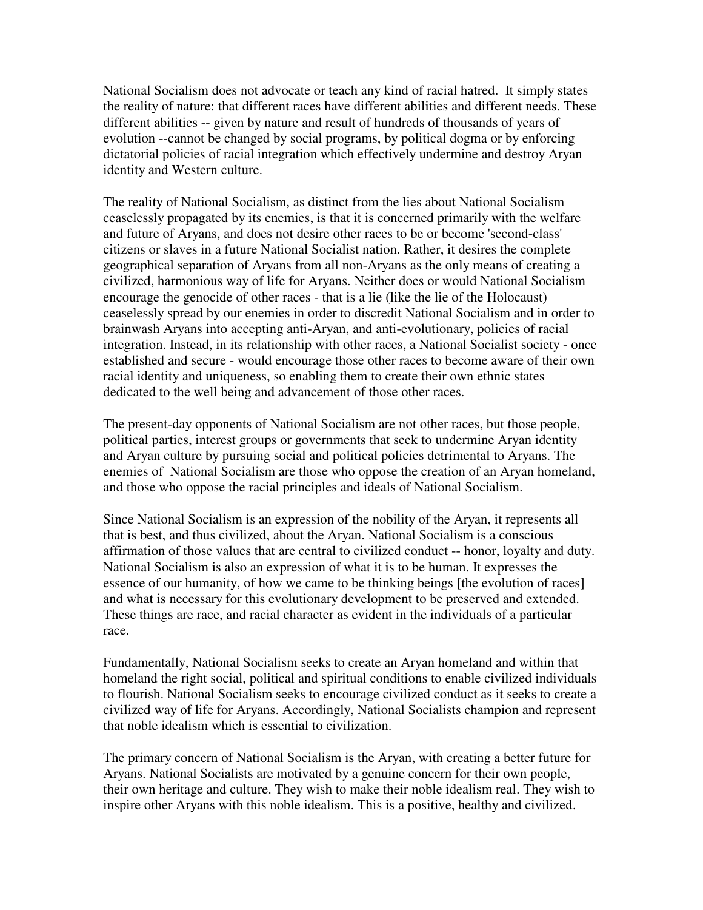National Socialism does not advocate or teach any kind of racial hatred. It simply states the reality of nature: that different races have different abilities and different needs. These different abilities -- given by nature and result of hundreds of thousands of years of evolution --cannot be changed by social programs, by political dogma or by enforcing dictatorial policies of racial integration which effectively undermine and destroy Aryan identity and Western culture.

The reality of National Socialism, as distinct from the lies about National Socialism ceaselessly propagated by its enemies, is that it is concerned primarily with the welfare and future of Aryans, and does not desire other races to be or become 'second-class' citizens or slaves in a future National Socialist nation. Rather, it desires the complete geographical separation of Aryans from all non-Aryans as the only means of creating a civilized, harmonious way of life for Aryans. Neither does or would National Socialism encourage the genocide of other races - that is a lie (like the lie of the Holocaust) ceaselessly spread by our enemies in order to discredit National Socialism and in order to brainwash Aryans into accepting anti-Aryan, and anti-evolutionary, policies of racial integration. Instead, in its relationship with other races, a National Socialist society - once established and secure - would encourage those other races to become aware of their own racial identity and uniqueness, so enabling them to create their own ethnic states dedicated to the well being and advancement of those other races.

The present-day opponents of National Socialism are not other races, but those people, political parties, interest groups or governments that seek to undermine Aryan identity and Aryan culture by pursuing social and political policies detrimental to Aryans. The enemies of National Socialism are those who oppose the creation of an Aryan homeland, and those who oppose the racial principles and ideals of National Socialism.

Since National Socialism is an expression of the nobility of the Aryan, it represents all that is best, and thus civilized, about the Aryan. National Socialism is a conscious affirmation of those values that are central to civilized conduct -- honor, loyalty and duty. National Socialism is also an expression of what it is to be human. It expresses the essence of our humanity, of how we came to be thinking beings [the evolution of races] and what is necessary for this evolutionary development to be preserved and extended. These things are race, and racial character as evident in the individuals of a particular race.

Fundamentally, National Socialism seeks to create an Aryan homeland and within that homeland the right social, political and spiritual conditions to enable civilized individuals to flourish. National Socialism seeks to encourage civilized conduct as it seeks to create a civilized way of life for Aryans. Accordingly, National Socialists champion and represent that noble idealism which is essential to civilization.

The primary concern of National Socialism is the Aryan, with creating a better future for Aryans. National Socialists are motivated by a genuine concern for their own people, their own heritage and culture. They wish to make their noble idealism real. They wish to inspire other Aryans with this noble idealism. This is a positive, healthy and civilized.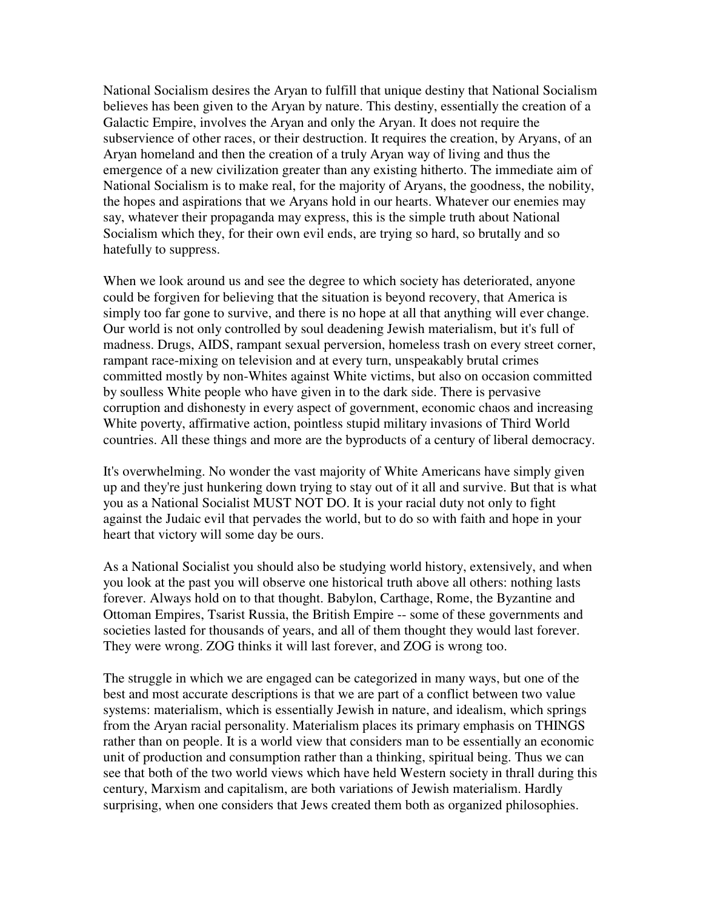National Socialism desires the Aryan to fulfill that unique destiny that National Socialism believes has been given to the Aryan by nature. This destiny, essentially the creation of a Galactic Empire, involves the Aryan and only the Aryan. It does not require the subservience of other races, or their destruction. It requires the creation, by Aryans, of an Aryan homeland and then the creation of a truly Aryan way of living and thus the emergence of a new civilization greater than any existing hitherto. The immediate aim of National Socialism is to make real, for the majority of Aryans, the goodness, the nobility, the hopes and aspirations that we Aryans hold in our hearts. Whatever our enemies may say, whatever their propaganda may express, this is the simple truth about National Socialism which they, for their own evil ends, are trying so hard, so brutally and so hatefully to suppress.

When we look around us and see the degree to which society has deteriorated, anyone could be forgiven for believing that the situation is beyond recovery, that America is simply too far gone to survive, and there is no hope at all that anything will ever change. Our world is not only controlled by soul deadening Jewish materialism, but it's full of madness. Drugs, AIDS, rampant sexual perversion, homeless trash on every street corner, rampant race-mixing on television and at every turn, unspeakably brutal crimes committed mostly by non-Whites against White victims, but also on occasion committed by soulless White people who have given in to the dark side. There is pervasive corruption and dishonesty in every aspect of government, economic chaos and increasing White poverty, affirmative action, pointless stupid military invasions of Third World countries. All these things and more are the byproducts of a century of liberal democracy.

It's overwhelming. No wonder the vast majority of White Americans have simply given up and they're just hunkering down trying to stay out of it all and survive. But that is what you as a National Socialist MUST NOT DO. It is your racial duty not only to fight against the Judaic evil that pervades the world, but to do so with faith and hope in your heart that victory will some day be ours.

As a National Socialist you should also be studying world history, extensively, and when you look at the past you will observe one historical truth above all others: nothing lasts forever. Always hold on to that thought. Babylon, Carthage, Rome, the Byzantine and Ottoman Empires, Tsarist Russia, the British Empire -- some of these governments and societies lasted for thousands of years, and all of them thought they would last forever. They were wrong. ZOG thinks it will last forever, and ZOG is wrong too.

The struggle in which we are engaged can be categorized in many ways, but one of the best and most accurate descriptions is that we are part of a conflict between two value systems: materialism, which is essentially Jewish in nature, and idealism, which springs from the Aryan racial personality. Materialism places its primary emphasis on THINGS rather than on people. It is a world view that considers man to be essentially an economic unit of production and consumption rather than a thinking, spiritual being. Thus we can see that both of the two world views which have held Western society in thrall during this century, Marxism and capitalism, are both variations of Jewish materialism. Hardly surprising, when one considers that Jews created them both as organized philosophies.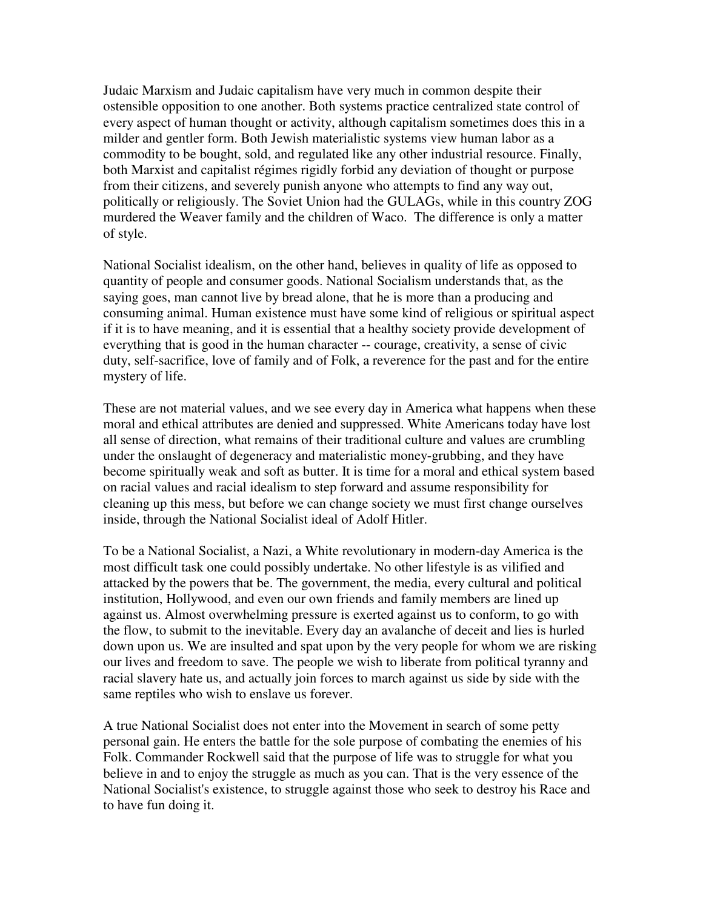Judaic Marxism and Judaic capitalism have very much in common despite their ostensible opposition to one another. Both systems practice centralized state control of every aspect of human thought or activity, although capitalism sometimes does this in a milder and gentler form. Both Jewish materialistic systems view human labor as a commodity to be bought, sold, and regulated like any other industrial resource. Finally, both Marxist and capitalist régimes rigidly forbid any deviation of thought or purpose from their citizens, and severely punish anyone who attempts to find any way out, politically or religiously. The Soviet Union had the GULAGs, while in this country ZOG murdered the Weaver family and the children of Waco. The difference is only a matter of style.

National Socialist idealism, on the other hand, believes in quality of life as opposed to quantity of people and consumer goods. National Socialism understands that, as the saying goes, man cannot live by bread alone, that he is more than a producing and consuming animal. Human existence must have some kind of religious or spiritual aspect if it is to have meaning, and it is essential that a healthy society provide development of everything that is good in the human character -- courage, creativity, a sense of civic duty, self-sacrifice, love of family and of Folk, a reverence for the past and for the entire mystery of life.

These are not material values, and we see every day in America what happens when these moral and ethical attributes are denied and suppressed. White Americans today have lost all sense of direction, what remains of their traditional culture and values are crumbling under the onslaught of degeneracy and materialistic money-grubbing, and they have become spiritually weak and soft as butter. It is time for a moral and ethical system based on racial values and racial idealism to step forward and assume responsibility for cleaning up this mess, but before we can change society we must first change ourselves inside, through the National Socialist ideal of Adolf Hitler.

To be a National Socialist, a Nazi, a White revolutionary in modern-day America is the most difficult task one could possibly undertake. No other lifestyle is as vilified and attacked by the powers that be. The government, the media, every cultural and political institution, Hollywood, and even our own friends and family members are lined up against us. Almost overwhelming pressure is exerted against us to conform, to go with the flow, to submit to the inevitable. Every day an avalanche of deceit and lies is hurled down upon us. We are insulted and spat upon by the very people for whom we are risking our lives and freedom to save. The people we wish to liberate from political tyranny and racial slavery hate us, and actually join forces to march against us side by side with the same reptiles who wish to enslave us forever.

A true National Socialist does not enter into the Movement in search of some petty personal gain. He enters the battle for the sole purpose of combating the enemies of his Folk. Commander Rockwell said that the purpose of life was to struggle for what you believe in and to enjoy the struggle as much as you can. That is the very essence of the National Socialist's existence, to struggle against those who seek to destroy his Race and to have fun doing it.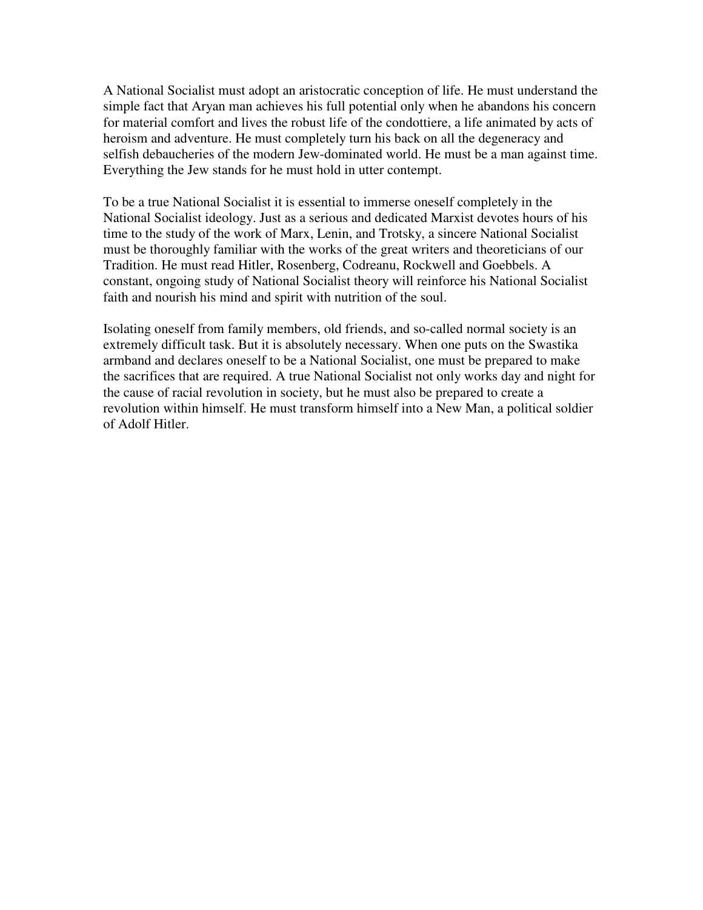A National Socialist must adopt an aristocratic conception of life. He must understand the simple fact that Aryan man achieves his full potential only when he abandons his concern for material comfort and lives the robust life of the condottiere, a life animated by acts of heroism and adventure. He must completely turn his back on all the degeneracy and selfish debaucheries of the modern Jew-dominated world. He must be a man against time. Everything the Jew stands for he must hold in utter contempt.

To be a true National Socialist it is essential to immerse oneself completely in the National Socialist ideology. Just as a serious and dedicated Marxist devotes hours of his time to the study of the work of Marx, Lenin, and Trotsky, a sincere National Socialist must be thoroughly familiar with the works of the great writers and theoreticians of our Tradition. He must read Hitler, Rosenberg, Codreanu, Rockwell and Goebbels. A constant, ongoing study of National Socialist theory will reinforce his National Socialist faith and nourish his mind and spirit with nutrition of the soul.

Isolating oneself from family members, old friends, and so-called normal society is an extremely difficult task. But it is absolutely necessary. When one puts on the Swastika armband and declares oneself to be a National Socialist, one must be prepared to make the sacrifices that are required. A true National Socialist not only works day and night for the cause of racial revolution in society, but he must also be prepared to create a revolution within himself. He must transform himself into a New Man, a political soldier of Adolf Hitler.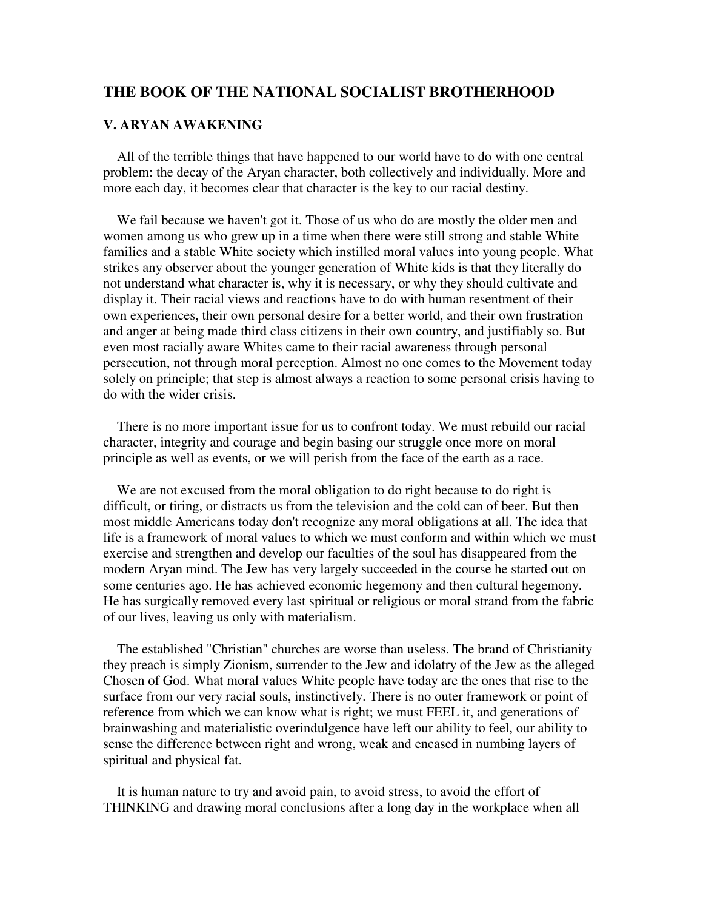### **THE BOOK OF THE NATIONAL SOCIALIST BROTHERHOOD**

#### **V. ARYAN AWAKENING**

 All of the terrible things that have happened to our world have to do with one central problem: the decay of the Aryan character, both collectively and individually. More and more each day, it becomes clear that character is the key to our racial destiny.

 We fail because we haven't got it. Those of us who do are mostly the older men and women among us who grew up in a time when there were still strong and stable White families and a stable White society which instilled moral values into young people. What strikes any observer about the younger generation of White kids is that they literally do not understand what character is, why it is necessary, or why they should cultivate and display it. Their racial views and reactions have to do with human resentment of their own experiences, their own personal desire for a better world, and their own frustration and anger at being made third class citizens in their own country, and justifiably so. But even most racially aware Whites came to their racial awareness through personal persecution, not through moral perception. Almost no one comes to the Movement today solely on principle; that step is almost always a reaction to some personal crisis having to do with the wider crisis.

 There is no more important issue for us to confront today. We must rebuild our racial character, integrity and courage and begin basing our struggle once more on moral principle as well as events, or we will perish from the face of the earth as a race.

 We are not excused from the moral obligation to do right because to do right is difficult, or tiring, or distracts us from the television and the cold can of beer. But then most middle Americans today don't recognize any moral obligations at all. The idea that life is a framework of moral values to which we must conform and within which we must exercise and strengthen and develop our faculties of the soul has disappeared from the modern Aryan mind. The Jew has very largely succeeded in the course he started out on some centuries ago. He has achieved economic hegemony and then cultural hegemony. He has surgically removed every last spiritual or religious or moral strand from the fabric of our lives, leaving us only with materialism.

 The established "Christian" churches are worse than useless. The brand of Christianity they preach is simply Zionism, surrender to the Jew and idolatry of the Jew as the alleged Chosen of God. What moral values White people have today are the ones that rise to the surface from our very racial souls, instinctively. There is no outer framework or point of reference from which we can know what is right; we must FEEL it, and generations of brainwashing and materialistic overindulgence have left our ability to feel, our ability to sense the difference between right and wrong, weak and encased in numbing layers of spiritual and physical fat.

 It is human nature to try and avoid pain, to avoid stress, to avoid the effort of THINKING and drawing moral conclusions after a long day in the workplace when all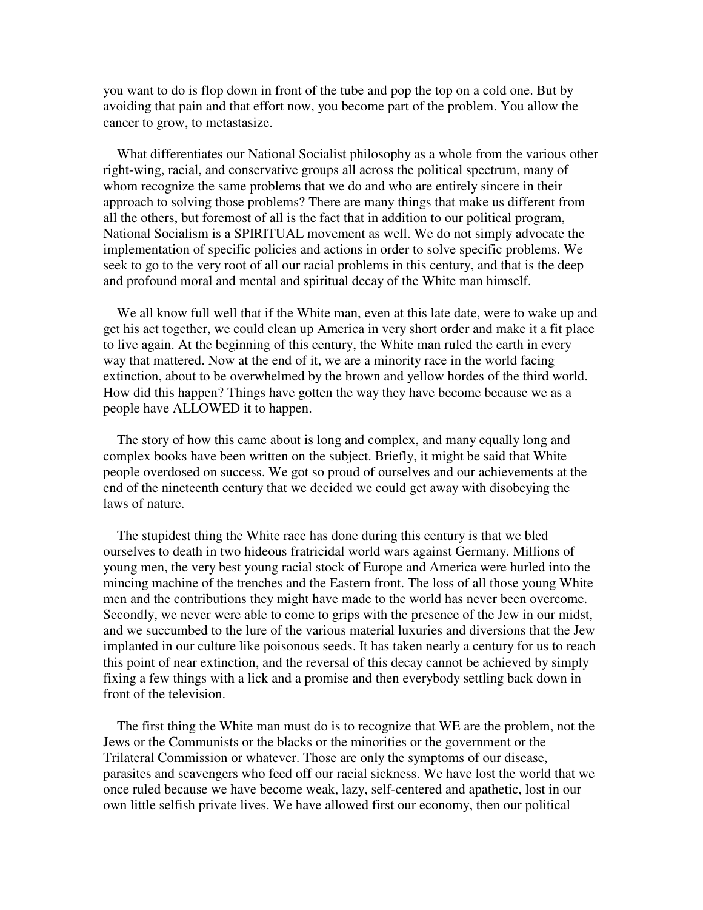you want to do is flop down in front of the tube and pop the top on a cold one. But by avoiding that pain and that effort now, you become part of the problem. You allow the cancer to grow, to metastasize.

 What differentiates our National Socialist philosophy as a whole from the various other right-wing, racial, and conservative groups all across the political spectrum, many of whom recognize the same problems that we do and who are entirely sincere in their approach to solving those problems? There are many things that make us different from all the others, but foremost of all is the fact that in addition to our political program, National Socialism is a SPIRITUAL movement as well. We do not simply advocate the implementation of specific policies and actions in order to solve specific problems. We seek to go to the very root of all our racial problems in this century, and that is the deep and profound moral and mental and spiritual decay of the White man himself.

We all know full well that if the White man, even at this late date, were to wake up and get his act together, we could clean up America in very short order and make it a fit place to live again. At the beginning of this century, the White man ruled the earth in every way that mattered. Now at the end of it, we are a minority race in the world facing extinction, about to be overwhelmed by the brown and yellow hordes of the third world. How did this happen? Things have gotten the way they have become because we as a people have ALLOWED it to happen.

 The story of how this came about is long and complex, and many equally long and complex books have been written on the subject. Briefly, it might be said that White people overdosed on success. We got so proud of ourselves and our achievements at the end of the nineteenth century that we decided we could get away with disobeying the laws of nature.

 The stupidest thing the White race has done during this century is that we bled ourselves to death in two hideous fratricidal world wars against Germany. Millions of young men, the very best young racial stock of Europe and America were hurled into the mincing machine of the trenches and the Eastern front. The loss of all those young White men and the contributions they might have made to the world has never been overcome. Secondly, we never were able to come to grips with the presence of the Jew in our midst, and we succumbed to the lure of the various material luxuries and diversions that the Jew implanted in our culture like poisonous seeds. It has taken nearly a century for us to reach this point of near extinction, and the reversal of this decay cannot be achieved by simply fixing a few things with a lick and a promise and then everybody settling back down in front of the television.

 The first thing the White man must do is to recognize that WE are the problem, not the Jews or the Communists or the blacks or the minorities or the government or the Trilateral Commission or whatever. Those are only the symptoms of our disease, parasites and scavengers who feed off our racial sickness. We have lost the world that we once ruled because we have become weak, lazy, self-centered and apathetic, lost in our own little selfish private lives. We have allowed first our economy, then our political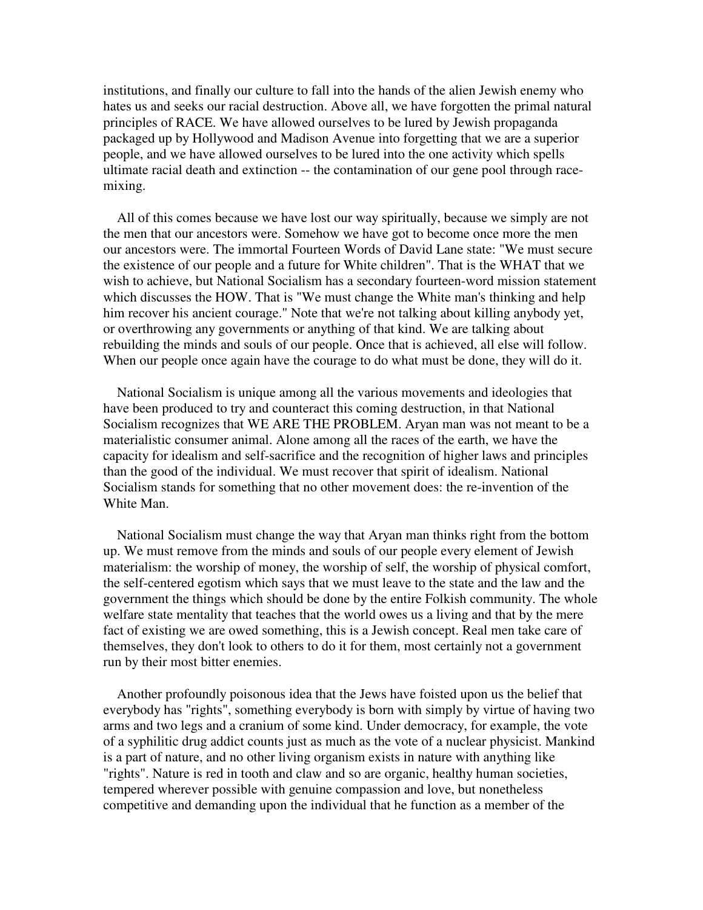institutions, and finally our culture to fall into the hands of the alien Jewish enemy who hates us and seeks our racial destruction. Above all, we have forgotten the primal natural principles of RACE. We have allowed ourselves to be lured by Jewish propaganda packaged up by Hollywood and Madison Avenue into forgetting that we are a superior people, and we have allowed ourselves to be lured into the one activity which spells ultimate racial death and extinction -- the contamination of our gene pool through racemixing.

 All of this comes because we have lost our way spiritually, because we simply are not the men that our ancestors were. Somehow we have got to become once more the men our ancestors were. The immortal Fourteen Words of David Lane state: "We must secure the existence of our people and a future for White children". That is the WHAT that we wish to achieve, but National Socialism has a secondary fourteen-word mission statement which discusses the HOW. That is "We must change the White man's thinking and help him recover his ancient courage." Note that we're not talking about killing anybody yet, or overthrowing any governments or anything of that kind. We are talking about rebuilding the minds and souls of our people. Once that is achieved, all else will follow. When our people once again have the courage to do what must be done, they will do it.

 National Socialism is unique among all the various movements and ideologies that have been produced to try and counteract this coming destruction, in that National Socialism recognizes that WE ARE THE PROBLEM. Aryan man was not meant to be a materialistic consumer animal. Alone among all the races of the earth, we have the capacity for idealism and self-sacrifice and the recognition of higher laws and principles than the good of the individual. We must recover that spirit of idealism. National Socialism stands for something that no other movement does: the re-invention of the White Man.

 National Socialism must change the way that Aryan man thinks right from the bottom up. We must remove from the minds and souls of our people every element of Jewish materialism: the worship of money, the worship of self, the worship of physical comfort, the self-centered egotism which says that we must leave to the state and the law and the government the things which should be done by the entire Folkish community. The whole welfare state mentality that teaches that the world owes us a living and that by the mere fact of existing we are owed something, this is a Jewish concept. Real men take care of themselves, they don't look to others to do it for them, most certainly not a government run by their most bitter enemies.

 Another profoundly poisonous idea that the Jews have foisted upon us the belief that everybody has "rights", something everybody is born with simply by virtue of having two arms and two legs and a cranium of some kind. Under democracy, for example, the vote of a syphilitic drug addict counts just as much as the vote of a nuclear physicist. Mankind is a part of nature, and no other living organism exists in nature with anything like "rights". Nature is red in tooth and claw and so are organic, healthy human societies, tempered wherever possible with genuine compassion and love, but nonetheless competitive and demanding upon the individual that he function as a member of the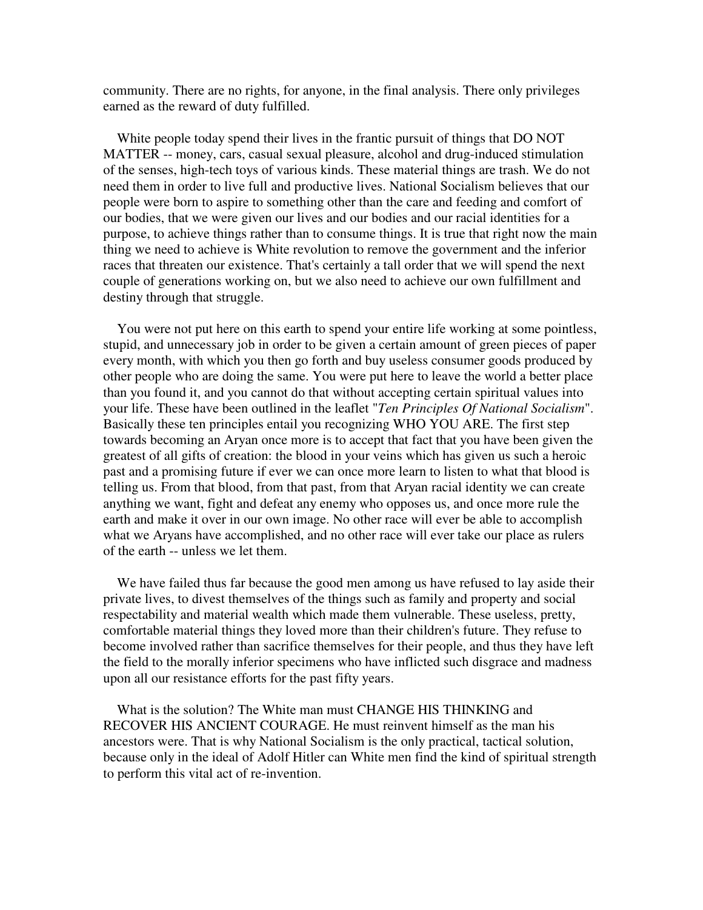community. There are no rights, for anyone, in the final analysis. There only privileges earned as the reward of duty fulfilled.

 White people today spend their lives in the frantic pursuit of things that DO NOT MATTER -- money, cars, casual sexual pleasure, alcohol and drug-induced stimulation of the senses, high-tech toys of various kinds. These material things are trash. We do not need them in order to live full and productive lives. National Socialism believes that our people were born to aspire to something other than the care and feeding and comfort of our bodies, that we were given our lives and our bodies and our racial identities for a purpose, to achieve things rather than to consume things. It is true that right now the main thing we need to achieve is White revolution to remove the government and the inferior races that threaten our existence. That's certainly a tall order that we will spend the next couple of generations working on, but we also need to achieve our own fulfillment and destiny through that struggle.

 You were not put here on this earth to spend your entire life working at some pointless, stupid, and unnecessary job in order to be given a certain amount of green pieces of paper every month, with which you then go forth and buy useless consumer goods produced by other people who are doing the same. You were put here to leave the world a better place than you found it, and you cannot do that without accepting certain spiritual values into your life. These have been outlined in the leaflet "*Ten Principles Of National Socialism*". Basically these ten principles entail you recognizing WHO YOU ARE. The first step towards becoming an Aryan once more is to accept that fact that you have been given the greatest of all gifts of creation: the blood in your veins which has given us such a heroic past and a promising future if ever we can once more learn to listen to what that blood is telling us. From that blood, from that past, from that Aryan racial identity we can create anything we want, fight and defeat any enemy who opposes us, and once more rule the earth and make it over in our own image. No other race will ever be able to accomplish what we Aryans have accomplished, and no other race will ever take our place as rulers of the earth -- unless we let them.

 We have failed thus far because the good men among us have refused to lay aside their private lives, to divest themselves of the things such as family and property and social respectability and material wealth which made them vulnerable. These useless, pretty, comfortable material things they loved more than their children's future. They refuse to become involved rather than sacrifice themselves for their people, and thus they have left the field to the morally inferior specimens who have inflicted such disgrace and madness upon all our resistance efforts for the past fifty years.

 What is the solution? The White man must CHANGE HIS THINKING and RECOVER HIS ANCIENT COURAGE. He must reinvent himself as the man his ancestors were. That is why National Socialism is the only practical, tactical solution, because only in the ideal of Adolf Hitler can White men find the kind of spiritual strength to perform this vital act of re-invention.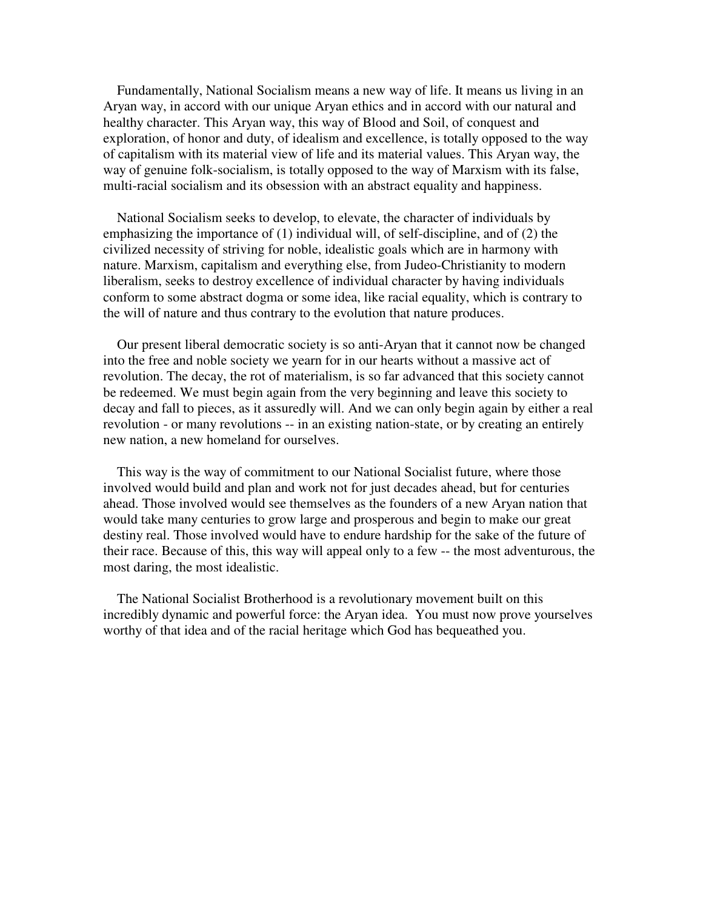Fundamentally, National Socialism means a new way of life. It means us living in an Aryan way, in accord with our unique Aryan ethics and in accord with our natural and healthy character. This Aryan way, this way of Blood and Soil, of conquest and exploration, of honor and duty, of idealism and excellence, is totally opposed to the way of capitalism with its material view of life and its material values. This Aryan way, the way of genuine folk-socialism, is totally opposed to the way of Marxism with its false, multi-racial socialism and its obsession with an abstract equality and happiness.

 National Socialism seeks to develop, to elevate, the character of individuals by emphasizing the importance of (1) individual will, of self-discipline, and of (2) the civilized necessity of striving for noble, idealistic goals which are in harmony with nature. Marxism, capitalism and everything else, from Judeo-Christianity to modern liberalism, seeks to destroy excellence of individual character by having individuals conform to some abstract dogma or some idea, like racial equality, which is contrary to the will of nature and thus contrary to the evolution that nature produces.

 Our present liberal democratic society is so anti-Aryan that it cannot now be changed into the free and noble society we yearn for in our hearts without a massive act of revolution. The decay, the rot of materialism, is so far advanced that this society cannot be redeemed. We must begin again from the very beginning and leave this society to decay and fall to pieces, as it assuredly will. And we can only begin again by either a real revolution - or many revolutions -- in an existing nation-state, or by creating an entirely new nation, a new homeland for ourselves.

 This way is the way of commitment to our National Socialist future, where those involved would build and plan and work not for just decades ahead, but for centuries ahead. Those involved would see themselves as the founders of a new Aryan nation that would take many centuries to grow large and prosperous and begin to make our great destiny real. Those involved would have to endure hardship for the sake of the future of their race. Because of this, this way will appeal only to a few -- the most adventurous, the most daring, the most idealistic.

 The National Socialist Brotherhood is a revolutionary movement built on this incredibly dynamic and powerful force: the Aryan idea. You must now prove yourselves worthy of that idea and of the racial heritage which God has bequeathed you.